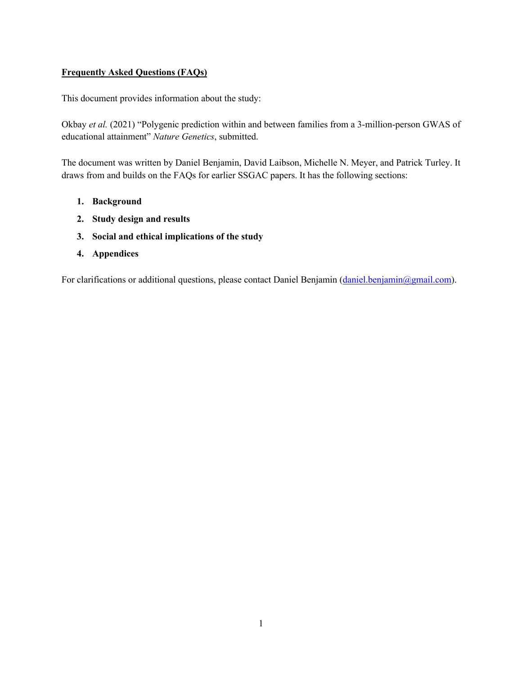### **Frequently Asked Questions (FAQs)**

This document provides information about the study:

Okbay *et al.* (2021) "Polygenic prediction within and between families from a 3-million-person GWAS of educational attainment" *Nature Genetics*, submitted.

The document was written by Daniel Benjamin, David Laibson, Michelle N. Meyer, and Patrick Turley. It draws from and builds on the FAQs for earlier SSGAC papers. It has the following sections:

- **1. Background**
- **2. Study design and results**
- **3. Social and ethical implications of the study**
- **4. Appendices**

For clarifications or additional questions, please contact Daniel Benjamin (daniel.benjamin@gmail.com).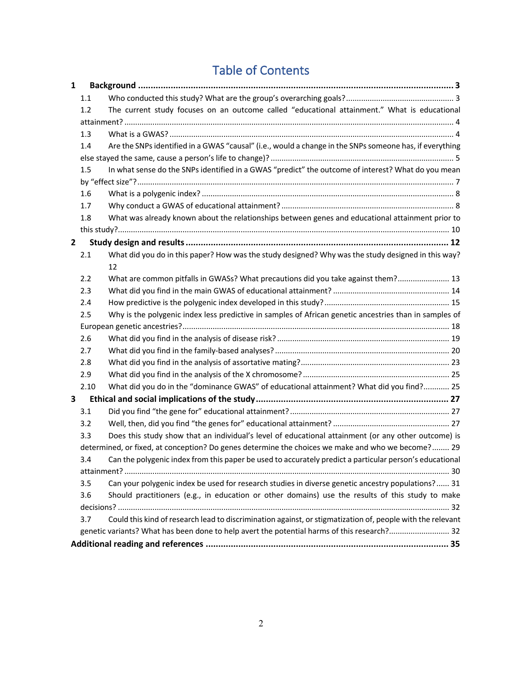# Table of Contents

| 1            |      |                                                                                                            |
|--------------|------|------------------------------------------------------------------------------------------------------------|
|              | 1.1  |                                                                                                            |
|              | 1.2  | The current study focuses on an outcome called "educational attainment." What is educational               |
|              |      |                                                                                                            |
|              | 1.3  |                                                                                                            |
|              | 1.4  | Are the SNPs identified in a GWAS "causal" (i.e., would a change in the SNPs someone has, if everything    |
|              |      |                                                                                                            |
|              | 1.5  | In what sense do the SNPs identified in a GWAS "predict" the outcome of interest? What do you mean         |
|              |      |                                                                                                            |
|              | 1.6  |                                                                                                            |
|              | 1.7  |                                                                                                            |
|              | 1.8  | What was already known about the relationships between genes and educational attainment prior to           |
|              |      |                                                                                                            |
| $\mathbf{2}$ |      |                                                                                                            |
|              | 2.1  | What did you do in this paper? How was the study designed? Why was the study designed in this way?         |
|              |      | 12                                                                                                         |
|              | 2.2  | What are common pitfalls in GWASs? What precautions did you take against them? 13                          |
|              | 2.3  |                                                                                                            |
|              | 2.4  |                                                                                                            |
|              | 2.5  | Why is the polygenic index less predictive in samples of African genetic ancestries than in samples of     |
|              |      |                                                                                                            |
|              | 2.6  |                                                                                                            |
|              | 2.7  |                                                                                                            |
|              | 2.8  |                                                                                                            |
|              | 2.9  |                                                                                                            |
|              | 2.10 | What did you do in the "dominance GWAS" of educational attainment? What did you find? 25                   |
| 3            |      |                                                                                                            |
|              | 3.1  |                                                                                                            |
|              | 3.2  |                                                                                                            |
|              | 3.3  | Does this study show that an individual's level of educational attainment (or any other outcome) is        |
|              |      | determined, or fixed, at conception? Do genes determine the choices we make and who we become? 29          |
|              | 3.4  | Can the polygenic index from this paper be used to accurately predict a particular person's educational    |
|              |      |                                                                                                            |
|              | 3.5  | Can your polygenic index be used for research studies in diverse genetic ancestry populations? 31          |
|              | 3.6  | Should practitioners (e.g., in education or other domains) use the results of this study to make           |
|              |      |                                                                                                            |
|              | 3.7  | Could this kind of research lead to discrimination against, or stigmatization of, people with the relevant |
|              |      | genetic variants? What has been done to help avert the potential harms of this research? 32                |
|              |      |                                                                                                            |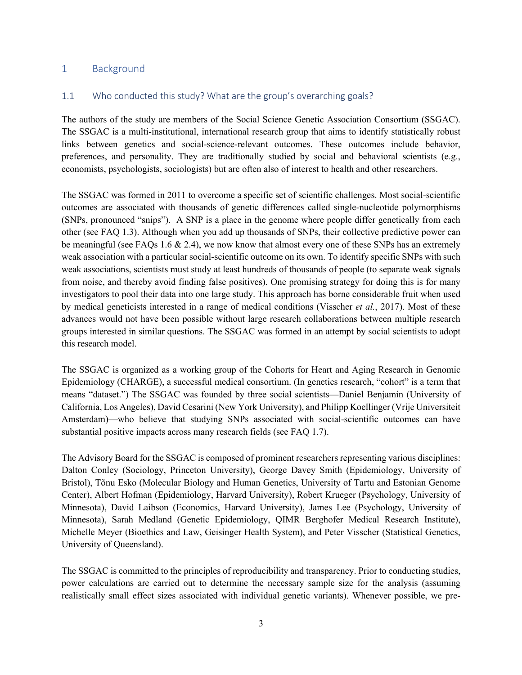### 1 Background

#### 1.1 Who conducted this study? What are the group's overarching goals?

The authors of the study are members of the Social Science Genetic Association Consortium (SSGAC). The SSGAC is a multi-institutional, international research group that aims to identify statistically robust links between genetics and social-science-relevant outcomes. These outcomes include behavior, preferences, and personality. They are traditionally studied by social and behavioral scientists (e.g., economists, psychologists, sociologists) but are often also of interest to health and other researchers.

The SSGAC was formed in 2011 to overcome a specific set of scientific challenges. Most social-scientific outcomes are associated with thousands of genetic differences called single-nucleotide polymorphisms (SNPs, pronounced "snips"). A SNP is a place in the genome where people differ genetically from each other (see FAQ 1.3). Although when you add up thousands of SNPs, their collective predictive power can be meaningful (see FAQs 1.6  $\&$  2.4), we now know that almost every one of these SNPs has an extremely weak association with a particular social-scientific outcome on its own. To identify specific SNPs with such weak associations, scientists must study at least hundreds of thousands of people (to separate weak signals from noise, and thereby avoid finding false positives). One promising strategy for doing this is for many investigators to pool their data into one large study. This approach has borne considerable fruit when used by medical geneticists interested in a range of medical conditions (Visscher *et al.*, 2017). Most of these advances would not have been possible without large research collaborations between multiple research groups interested in similar questions. The SSGAC was formed in an attempt by social scientists to adopt this research model.

The SSGAC is organized as a working group of the Cohorts for Heart and Aging Research in Genomic Epidemiology (CHARGE), a successful medical consortium. (In genetics research, "cohort" is a term that means "dataset.") The SSGAC was founded by three social scientists—Daniel Benjamin (University of California, Los Angeles), David Cesarini (New York University), and Philipp Koellinger (Vrije Universiteit Amsterdam)—who believe that studying SNPs associated with social-scientific outcomes can have substantial positive impacts across many research fields (see FAQ 1.7).

The Advisory Board for the SSGAC is composed of prominent researchers representing various disciplines: Dalton Conley (Sociology, Princeton University), George Davey Smith (Epidemiology, University of Bristol), Tõnu Esko (Molecular Biology and Human Genetics, University of Tartu and Estonian Genome Center), Albert Hofman (Epidemiology, Harvard University), Robert Krueger (Psychology, University of Minnesota), David Laibson (Economics, Harvard University), James Lee (Psychology, University of Minnesota), Sarah Medland (Genetic Epidemiology, QIMR Berghofer Medical Research Institute), Michelle Meyer (Bioethics and Law, Geisinger Health System), and Peter Visscher (Statistical Genetics, University of Queensland).

The SSGAC is committed to the principles of reproducibility and transparency. Prior to conducting studies, power calculations are carried out to determine the necessary sample size for the analysis (assuming realistically small effect sizes associated with individual genetic variants). Whenever possible, we pre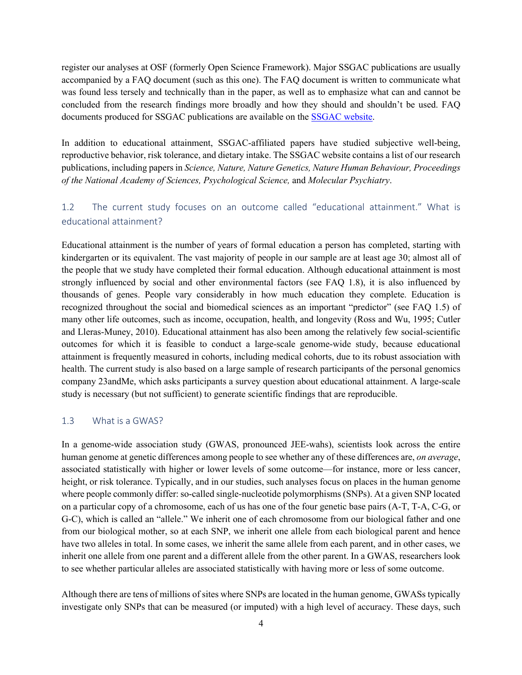register our analyses at OSF (formerly Open Science Framework). Major SSGAC publications are usually accompanied by a FAQ document (such as this one). The FAQ document is written to communicate what was found less tersely and technically than in the paper, as well as to emphasize what can and cannot be concluded from the research findings more broadly and how they should and shouldn't be used. FAQ documents produced for SSGAC publications are available on the SSGAC website.

In addition to educational attainment, SSGAC-affiliated papers have studied subjective well-being, reproductive behavior, risk tolerance, and dietary intake. The SSGAC website contains a list of our research publications, including papers in *Science, Nature, Nature Genetics, Nature Human Behaviour, Proceedings of the National Academy of Sciences, Psychological Science,* and *Molecular Psychiatry*.

# 1.2 The current study focuses on an outcome called "educational attainment." What is educational attainment?

Educational attainment is the number of years of formal education a person has completed, starting with kindergarten or its equivalent. The vast majority of people in our sample are at least age 30; almost all of the people that we study have completed their formal education. Although educational attainment is most strongly influenced by social and other environmental factors (see FAQ 1.8), it is also influenced by thousands of genes. People vary considerably in how much education they complete. Education is recognized throughout the social and biomedical sciences as an important "predictor" (see FAQ 1.5) of many other life outcomes, such as income, occupation, health, and longevity (Ross and Wu, 1995; Cutler and Lleras-Muney, 2010). Educational attainment has also been among the relatively few social-scientific outcomes for which it is feasible to conduct a large-scale genome-wide study, because educational attainment is frequently measured in cohorts, including medical cohorts, due to its robust association with health. The current study is also based on a large sample of research participants of the personal genomics company 23andMe, which asks participants a survey question about educational attainment. A large-scale study is necessary (but not sufficient) to generate scientific findings that are reproducible.

#### 1.3 What is a GWAS?

In a genome-wide association study (GWAS, pronounced JEE-wahs), scientists look across the entire human genome at genetic differences among people to see whether any of these differences are, *on average*, associated statistically with higher or lower levels of some outcome—for instance, more or less cancer, height, or risk tolerance. Typically, and in our studies, such analyses focus on places in the human genome where people commonly differ: so-called single-nucleotide polymorphisms (SNPs). At a given SNP located on a particular copy of a chromosome, each of us has one of the four genetic base pairs (A-T, T-A, C-G, or G-C), which is called an "allele." We inherit one of each chromosome from our biological father and one from our biological mother, so at each SNP, we inherit one allele from each biological parent and hence have two alleles in total. In some cases, we inherit the same allele from each parent, and in other cases, we inherit one allele from one parent and a different allele from the other parent. In a GWAS, researchers look to see whether particular alleles are associated statistically with having more or less of some outcome.

Although there are tens of millions of sites where SNPs are located in the human genome, GWASs typically investigate only SNPs that can be measured (or imputed) with a high level of accuracy. These days, such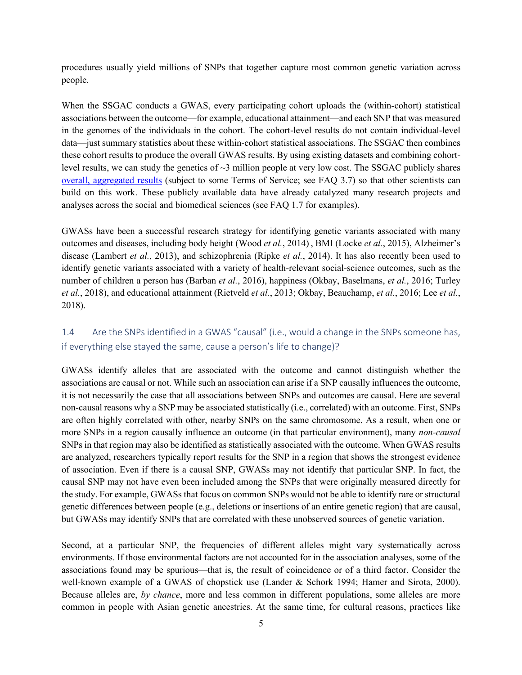procedures usually yield millions of SNPs that together capture most common genetic variation across people.

When the SSGAC conducts a GWAS, every participating cohort uploads the (within-cohort) statistical associations between the outcome—for example, educational attainment—and each SNP that was measured in the genomes of the individuals in the cohort. The cohort-level results do not contain individual-level data—just summary statistics about these within-cohort statistical associations. The SSGAC then combines these cohort results to produce the overall GWAS results. By using existing datasets and combining cohortlevel results, we can study the genetics of  $\sim$ 3 million people at very low cost. The SSGAC publicly shares overall, aggregated results (subject to some Terms of Service; see FAQ 3.7) so that other scientists can build on this work. These publicly available data have already catalyzed many research projects and analyses across the social and biomedical sciences (see FAQ 1.7 for examples).

GWASs have been a successful research strategy for identifying genetic variants associated with many outcomes and diseases, including body height (Wood *et al.*, 2014) , BMI (Locke *et al.*, 2015), Alzheimer's disease (Lambert *et al.*, 2013), and schizophrenia (Ripke *et al.*, 2014). It has also recently been used to identify genetic variants associated with a variety of health-relevant social-science outcomes, such as the number of children a person has (Barban *et al.*, 2016), happiness (Okbay, Baselmans, *et al.*, 2016; Turley *et al.*, 2018), and educational attainment (Rietveld *et al.*, 2013; Okbay, Beauchamp, *et al.*, 2016; Lee *et al.*, 2018).

# 1.4 Are the SNPs identified in a GWAS "causal" (i.e., would a change in the SNPs someone has, if everything else stayed the same, cause a person's life to change)?

GWASs identify alleles that are associated with the outcome and cannot distinguish whether the associations are causal or not. While such an association can arise if a SNP causally influences the outcome, it is not necessarily the case that all associations between SNPs and outcomes are causal. Here are several non-causal reasons why a SNP may be associated statistically (i.e., correlated) with an outcome. First, SNPs are often highly correlated with other, nearby SNPs on the same chromosome. As a result, when one or more SNPs in a region causally influence an outcome (in that particular environment), many *non-causal* SNPs in that region may also be identified as statistically associated with the outcome. When GWAS results are analyzed, researchers typically report results for the SNP in a region that shows the strongest evidence of association. Even if there is a causal SNP, GWASs may not identify that particular SNP. In fact, the causal SNP may not have even been included among the SNPs that were originally measured directly for the study. For example, GWASs that focus on common SNPs would not be able to identify rare or structural genetic differences between people (e.g., deletions or insertions of an entire genetic region) that are causal, but GWASs may identify SNPs that are correlated with these unobserved sources of genetic variation.

Second, at a particular SNP, the frequencies of different alleles might vary systematically across environments. If those environmental factors are not accounted for in the association analyses, some of the associations found may be spurious—that is, the result of coincidence or of a third factor. Consider the well-known example of a GWAS of chopstick use (Lander & Schork 1994; Hamer and Sirota, 2000). Because alleles are, *by chance*, more and less common in different populations, some alleles are more common in people with Asian genetic ancestries. At the same time, for cultural reasons, practices like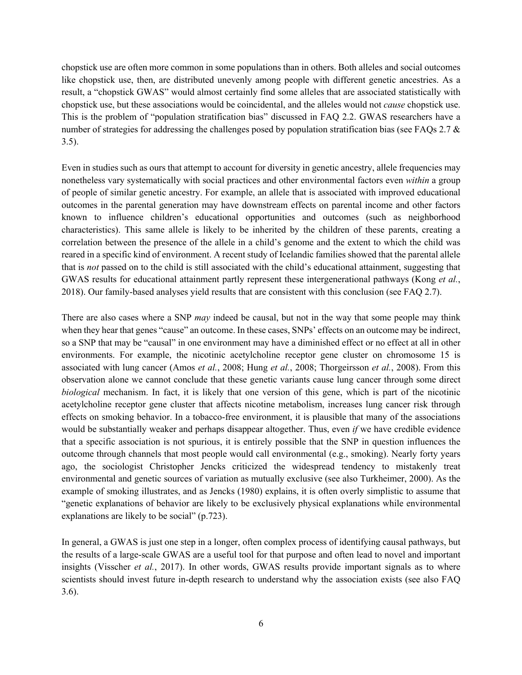chopstick use are often more common in some populations than in others. Both alleles and social outcomes like chopstick use, then, are distributed unevenly among people with different genetic ancestries. As a result, a "chopstick GWAS" would almost certainly find some alleles that are associated statistically with chopstick use, but these associations would be coincidental, and the alleles would not *cause* chopstick use. This is the problem of "population stratification bias" discussed in FAQ 2.2. GWAS researchers have a number of strategies for addressing the challenges posed by population stratification bias (see FAQs 2.7 & 3.5).

Even in studies such as ours that attempt to account for diversity in genetic ancestry, allele frequencies may nonetheless vary systematically with social practices and other environmental factors even *within* a group of people of similar genetic ancestry. For example, an allele that is associated with improved educational outcomes in the parental generation may have downstream effects on parental income and other factors known to influence children's educational opportunities and outcomes (such as neighborhood characteristics). This same allele is likely to be inherited by the children of these parents, creating a correlation between the presence of the allele in a child's genome and the extent to which the child was reared in a specific kind of environment. A recent study of Icelandic families showed that the parental allele that is *not* passed on to the child is still associated with the child's educational attainment, suggesting that GWAS results for educational attainment partly represent these intergenerational pathways (Kong *et al.*, 2018). Our family-based analyses yield results that are consistent with this conclusion (see FAQ 2.7).

There are also cases where a SNP *may* indeed be causal, but not in the way that some people may think when they hear that genes "cause" an outcome. In these cases, SNPs' effects on an outcome may be indirect, so a SNP that may be "causal" in one environment may have a diminished effect or no effect at all in other environments. For example, the nicotinic acetylcholine receptor gene cluster on chromosome 15 is associated with lung cancer (Amos *et al.*, 2008; Hung *et al.*, 2008; Thorgeirsson *et al.*, 2008). From this observation alone we cannot conclude that these genetic variants cause lung cancer through some direct *biological* mechanism. In fact, it is likely that one version of this gene, which is part of the nicotinic acetylcholine receptor gene cluster that affects nicotine metabolism, increases lung cancer risk through effects on smoking behavior. In a tobacco-free environment, it is plausible that many of the associations would be substantially weaker and perhaps disappear altogether. Thus, even *if* we have credible evidence that a specific association is not spurious, it is entirely possible that the SNP in question influences the outcome through channels that most people would call environmental (e.g., smoking). Nearly forty years ago, the sociologist Christopher Jencks criticized the widespread tendency to mistakenly treat environmental and genetic sources of variation as mutually exclusive (see also Turkheimer, 2000). As the example of smoking illustrates, and as Jencks (1980) explains, it is often overly simplistic to assume that "genetic explanations of behavior are likely to be exclusively physical explanations while environmental explanations are likely to be social" (p.723).

In general, a GWAS is just one step in a longer, often complex process of identifying causal pathways, but the results of a large-scale GWAS are a useful tool for that purpose and often lead to novel and important insights (Visscher *et al.*, 2017). In other words, GWAS results provide important signals as to where scientists should invest future in-depth research to understand why the association exists (see also FAQ 3.6).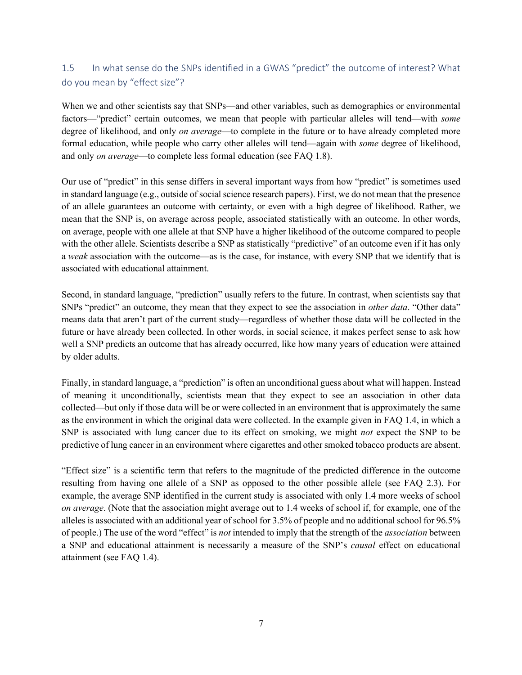# 1.5 In what sense do the SNPs identified in a GWAS "predict" the outcome of interest? What do you mean by "effect size"?

When we and other scientists say that SNPs—and other variables, such as demographics or environmental factors—"predict" certain outcomes, we mean that people with particular alleles will tend—with *some* degree of likelihood, and only *on average*—to complete in the future or to have already completed more formal education, while people who carry other alleles will tend—again with *some* degree of likelihood, and only *on average*—to complete less formal education (see FAQ 1.8).

Our use of "predict" in this sense differs in several important ways from how "predict" is sometimes used in standard language (e.g., outside of social science research papers). First, we do not mean that the presence of an allele guarantees an outcome with certainty, or even with a high degree of likelihood. Rather, we mean that the SNP is, on average across people, associated statistically with an outcome. In other words, on average, people with one allele at that SNP have a higher likelihood of the outcome compared to people with the other allele. Scientists describe a SNP as statistically "predictive" of an outcome even if it has only a *weak* association with the outcome—as is the case, for instance, with every SNP that we identify that is associated with educational attainment.

Second, in standard language, "prediction" usually refers to the future. In contrast, when scientists say that SNPs "predict" an outcome, they mean that they expect to see the association in *other data*. "Other data" means data that aren't part of the current study—regardless of whether those data will be collected in the future or have already been collected. In other words, in social science, it makes perfect sense to ask how well a SNP predicts an outcome that has already occurred, like how many years of education were attained by older adults.

Finally, in standard language, a "prediction" is often an unconditional guess about what will happen. Instead of meaning it unconditionally, scientists mean that they expect to see an association in other data collected—but only if those data will be or were collected in an environment that is approximately the same as the environment in which the original data were collected. In the example given in FAQ 1.4, in which a SNP is associated with lung cancer due to its effect on smoking, we might *not* expect the SNP to be predictive of lung cancer in an environment where cigarettes and other smoked tobacco products are absent.

"Effect size" is a scientific term that refers to the magnitude of the predicted difference in the outcome resulting from having one allele of a SNP as opposed to the other possible allele (see FAQ 2.3). For example, the average SNP identified in the current study is associated with only 1.4 more weeks of school *on average*. (Note that the association might average out to 1.4 weeks of school if, for example, one of the alleles is associated with an additional year of school for 3.5% of people and no additional school for 96.5% of people.) The use of the word "effect" is *not* intended to imply that the strength of the *association* between a SNP and educational attainment is necessarily a measure of the SNP's *causal* effect on educational attainment (see FAQ 1.4).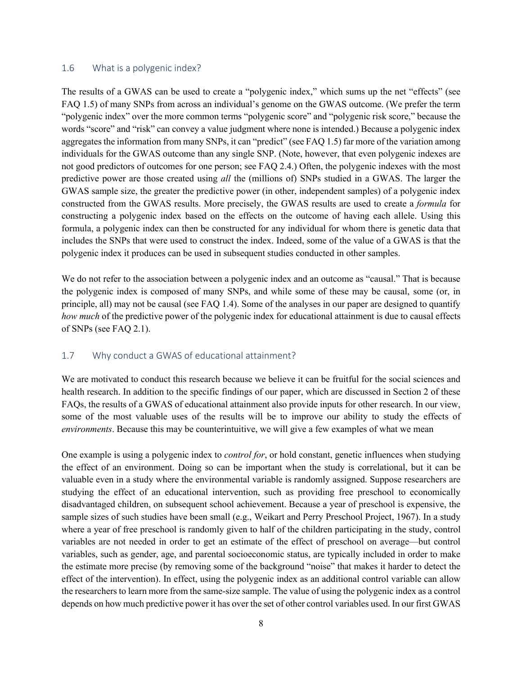#### 1.6 What is a polygenic index?

The results of a GWAS can be used to create a "polygenic index," which sums up the net "effects" (see FAQ 1.5) of many SNPs from across an individual's genome on the GWAS outcome. (We prefer the term "polygenic index" over the more common terms "polygenic score" and "polygenic risk score," because the words "score" and "risk" can convey a value judgment where none is intended.) Because a polygenic index aggregates the information from many SNPs, it can "predict" (see FAQ 1.5) far more of the variation among individuals for the GWAS outcome than any single SNP. (Note, however, that even polygenic indexes are not good predictors of outcomes for one person; see FAQ 2.4.) Often, the polygenic indexes with the most predictive power are those created using *all* the (millions of) SNPs studied in a GWAS. The larger the GWAS sample size, the greater the predictive power (in other, independent samples) of a polygenic index constructed from the GWAS results. More precisely, the GWAS results are used to create a *formula* for constructing a polygenic index based on the effects on the outcome of having each allele. Using this formula, a polygenic index can then be constructed for any individual for whom there is genetic data that includes the SNPs that were used to construct the index. Indeed, some of the value of a GWAS is that the polygenic index it produces can be used in subsequent studies conducted in other samples.

We do not refer to the association between a polygenic index and an outcome as "causal." That is because the polygenic index is composed of many SNPs, and while some of these may be causal, some (or, in principle, all) may not be causal (see FAQ 1.4). Some of the analyses in our paper are designed to quantify *how much* of the predictive power of the polygenic index for educational attainment is due to causal effects of SNPs (see FAQ 2.1).

#### 1.7 Why conduct a GWAS of educational attainment?

We are motivated to conduct this research because we believe it can be fruitful for the social sciences and health research. In addition to the specific findings of our paper, which are discussed in Section 2 of these FAQs, the results of a GWAS of educational attainment also provide inputs for other research. In our view, some of the most valuable uses of the results will be to improve our ability to study the effects of *environments*. Because this may be counterintuitive, we will give a few examples of what we mean

One example is using a polygenic index to *control for*, or hold constant, genetic influences when studying the effect of an environment. Doing so can be important when the study is correlational, but it can be valuable even in a study where the environmental variable is randomly assigned. Suppose researchers are studying the effect of an educational intervention, such as providing free preschool to economically disadvantaged children, on subsequent school achievement. Because a year of preschool is expensive, the sample sizes of such studies have been small (e.g., Weikart and Perry Preschool Project, 1967). In a study where a year of free preschool is randomly given to half of the children participating in the study, control variables are not needed in order to get an estimate of the effect of preschool on average—but control variables, such as gender, age, and parental socioeconomic status, are typically included in order to make the estimate more precise (by removing some of the background "noise" that makes it harder to detect the effect of the intervention). In effect, using the polygenic index as an additional control variable can allow the researchers to learn more from the same-size sample. The value of using the polygenic index as a control depends on how much predictive power it has over the set of other control variables used. In our first GWAS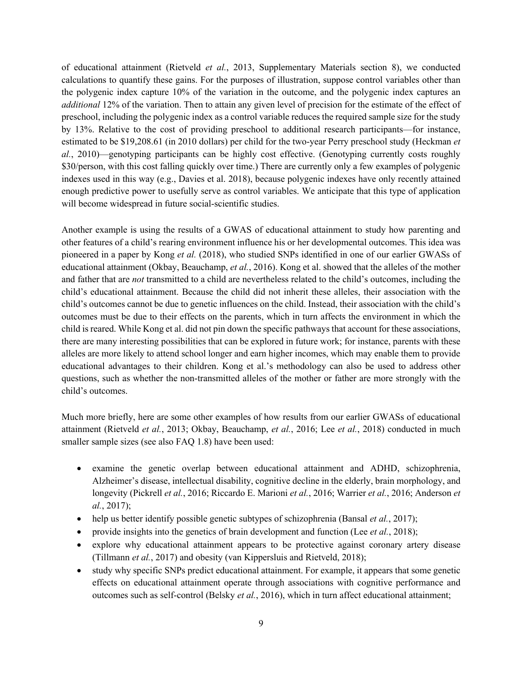of educational attainment (Rietveld *et al.*, 2013, Supplementary Materials section 8), we conducted calculations to quantify these gains. For the purposes of illustration, suppose control variables other than the polygenic index capture 10% of the variation in the outcome, and the polygenic index captures an *additional* 12% of the variation. Then to attain any given level of precision for the estimate of the effect of preschool, including the polygenic index as a control variable reduces the required sample size for the study by 13%. Relative to the cost of providing preschool to additional research participants—for instance, estimated to be \$19,208.61 (in 2010 dollars) per child for the two-year Perry preschool study (Heckman *et al.*, 2010)—genotyping participants can be highly cost effective. (Genotyping currently costs roughly \$30/person, with this cost falling quickly over time.) There are currently only a few examples of polygenic indexes used in this way (e.g., Davies et al. 2018), because polygenic indexes have only recently attained enough predictive power to usefully serve as control variables. We anticipate that this type of application will become widespread in future social-scientific studies.

Another example is using the results of a GWAS of educational attainment to study how parenting and other features of a child's rearing environment influence his or her developmental outcomes. This idea was pioneered in a paper by Kong *et al.* (2018), who studied SNPs identified in one of our earlier GWASs of educational attainment (Okbay, Beauchamp, *et al.*, 2016). Kong et al. showed that the alleles of the mother and father that are *not* transmitted to a child are nevertheless related to the child's outcomes, including the child's educational attainment. Because the child did not inherit these alleles, their association with the child's outcomes cannot be due to genetic influences on the child. Instead, their association with the child's outcomes must be due to their effects on the parents, which in turn affects the environment in which the child is reared. While Kong et al. did not pin down the specific pathways that account for these associations, there are many interesting possibilities that can be explored in future work; for instance, parents with these alleles are more likely to attend school longer and earn higher incomes, which may enable them to provide educational advantages to their children. Kong et al.'s methodology can also be used to address other questions, such as whether the non-transmitted alleles of the mother or father are more strongly with the child's outcomes.

Much more briefly, here are some other examples of how results from our earlier GWASs of educational attainment (Rietveld *et al.*, 2013; Okbay, Beauchamp, *et al.*, 2016; Lee *et al.*, 2018) conducted in much smaller sample sizes (see also FAQ 1.8) have been used:

- examine the genetic overlap between educational attainment and ADHD, schizophrenia, Alzheimer's disease, intellectual disability, cognitive decline in the elderly, brain morphology, and longevity (Pickrell *et al.*, 2016; Riccardo E. Marioni *et al.*, 2016; Warrier *et al.*, 2016; Anderson *et al.*, 2017);
- help us better identify possible genetic subtypes of schizophrenia (Bansal *et al.*, 2017);
- provide insights into the genetics of brain development and function (Lee *et al.*, 2018);
- explore why educational attainment appears to be protective against coronary artery disease (Tillmann *et al.*, 2017) and obesity (van Kippersluis and Rietveld, 2018);
- study why specific SNPs predict educational attainment. For example, it appears that some genetic effects on educational attainment operate through associations with cognitive performance and outcomes such as self-control (Belsky *et al.*, 2016), which in turn affect educational attainment;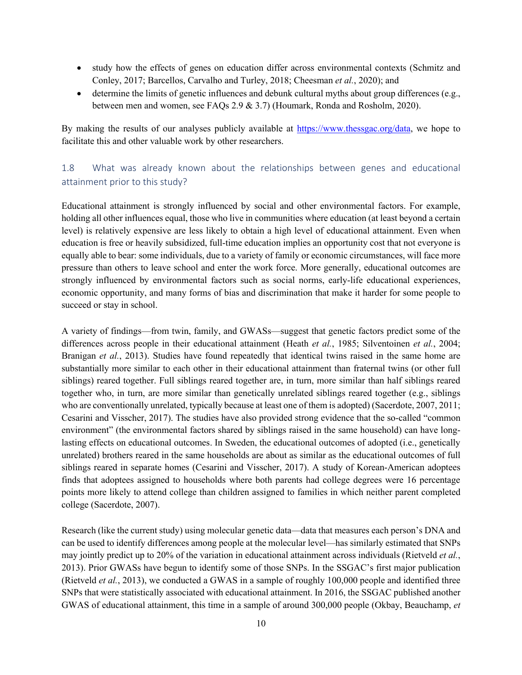- study how the effects of genes on education differ across environmental contexts (Schmitz and Conley, 2017; Barcellos, Carvalho and Turley, 2018; Cheesman *et al.*, 2020); and
- determine the limits of genetic influences and debunk cultural myths about group differences (e.g., between men and women, see FAQs 2.9 & 3.7) (Houmark, Ronda and Rosholm, 2020).

By making the results of our analyses publicly available at https://www.thessgac.org/data, we hope to facilitate this and other valuable work by other researchers.

# 1.8 What was already known about the relationships between genes and educational attainment prior to this study?

Educational attainment is strongly influenced by social and other environmental factors. For example, holding all other influences equal, those who live in communities where education (at least beyond a certain level) is relatively expensive are less likely to obtain a high level of educational attainment. Even when education is free or heavily subsidized, full-time education implies an opportunity cost that not everyone is equally able to bear: some individuals, due to a variety of family or economic circumstances, will face more pressure than others to leave school and enter the work force. More generally, educational outcomes are strongly influenced by environmental factors such as social norms, early-life educational experiences, economic opportunity, and many forms of bias and discrimination that make it harder for some people to succeed or stay in school.

A variety of findings—from twin, family, and GWASs—suggest that genetic factors predict some of the differences across people in their educational attainment (Heath *et al.*, 1985; Silventoinen *et al.*, 2004; Branigan *et al.*, 2013). Studies have found repeatedly that identical twins raised in the same home are substantially more similar to each other in their educational attainment than fraternal twins (or other full siblings) reared together. Full siblings reared together are, in turn, more similar than half siblings reared together who, in turn, are more similar than genetically unrelated siblings reared together (e.g., siblings who are conventionally unrelated, typically because at least one of them is adopted) (Sacerdote, 2007, 2011; Cesarini and Visscher, 2017). The studies have also provided strong evidence that the so-called "common environment" (the environmental factors shared by siblings raised in the same household) can have longlasting effects on educational outcomes. In Sweden, the educational outcomes of adopted (i.e., genetically unrelated) brothers reared in the same households are about as similar as the educational outcomes of full siblings reared in separate homes (Cesarini and Visscher, 2017). A study of Korean-American adoptees finds that adoptees assigned to households where both parents had college degrees were 16 percentage points more likely to attend college than children assigned to families in which neither parent completed college (Sacerdote, 2007).

Research (like the current study) using molecular genetic data—data that measures each person's DNA and can be used to identify differences among people at the molecular level—has similarly estimated that SNPs may jointly predict up to 20% of the variation in educational attainment across individuals (Rietveld *et al.*, 2013). Prior GWASs have begun to identify some of those SNPs. In the SSGAC's first major publication (Rietveld *et al.*, 2013), we conducted a GWAS in a sample of roughly 100,000 people and identified three SNPs that were statistically associated with educational attainment. In 2016, the SSGAC published another GWAS of educational attainment, this time in a sample of around 300,000 people (Okbay, Beauchamp, *et*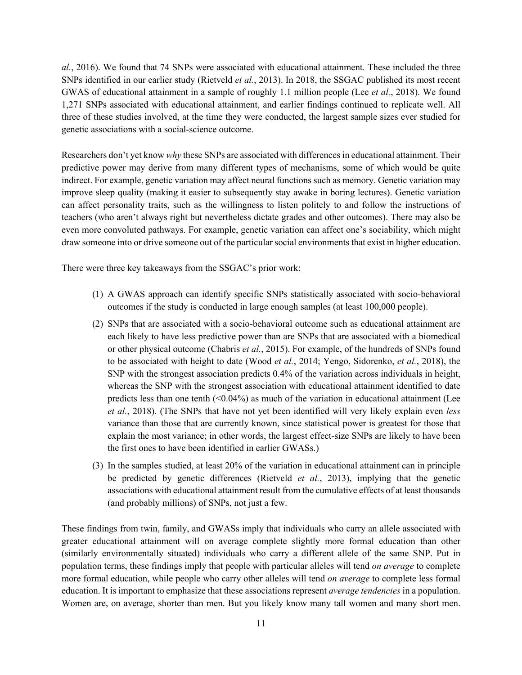*al.*, 2016). We found that 74 SNPs were associated with educational attainment. These included the three SNPs identified in our earlier study (Rietveld *et al.*, 2013). In 2018, the SSGAC published its most recent GWAS of educational attainment in a sample of roughly 1.1 million people (Lee *et al.*, 2018). We found 1,271 SNPs associated with educational attainment, and earlier findings continued to replicate well. All three of these studies involved, at the time they were conducted, the largest sample sizes ever studied for genetic associations with a social-science outcome.

Researchers don't yet know *why* these SNPs are associated with differences in educational attainment. Their predictive power may derive from many different types of mechanisms, some of which would be quite indirect. For example, genetic variation may affect neural functions such as memory. Genetic variation may improve sleep quality (making it easier to subsequently stay awake in boring lectures). Genetic variation can affect personality traits, such as the willingness to listen politely to and follow the instructions of teachers (who aren't always right but nevertheless dictate grades and other outcomes). There may also be even more convoluted pathways. For example, genetic variation can affect one's sociability, which might draw someone into or drive someone out of the particular social environments that exist in higher education.

There were three key takeaways from the SSGAC's prior work:

- (1) A GWAS approach can identify specific SNPs statistically associated with socio-behavioral outcomes if the study is conducted in large enough samples (at least 100,000 people).
- (2) SNPs that are associated with a socio-behavioral outcome such as educational attainment are each likely to have less predictive power than are SNPs that are associated with a biomedical or other physical outcome (Chabris *et al.*, 2015). For example, of the hundreds of SNPs found to be associated with height to date (Wood *et al.*, 2014; Yengo, Sidorenko, *et al.*, 2018), the SNP with the strongest association predicts 0.4% of the variation across individuals in height, whereas the SNP with the strongest association with educational attainment identified to date predicts less than one tenth  $($ <0.04%) as much of the variation in educational attainment (Lee *et al.*, 2018). (The SNPs that have not yet been identified will very likely explain even *less* variance than those that are currently known, since statistical power is greatest for those that explain the most variance; in other words, the largest effect-size SNPs are likely to have been the first ones to have been identified in earlier GWASs.)
- (3) In the samples studied, at least 20% of the variation in educational attainment can in principle be predicted by genetic differences (Rietveld *et al.*, 2013), implying that the genetic associations with educational attainment result from the cumulative effects of at least thousands (and probably millions) of SNPs, not just a few.

These findings from twin, family, and GWASs imply that individuals who carry an allele associated with greater educational attainment will on average complete slightly more formal education than other (similarly environmentally situated) individuals who carry a different allele of the same SNP. Put in population terms, these findings imply that people with particular alleles will tend *on average* to complete more formal education, while people who carry other alleles will tend *on average* to complete less formal education. It is important to emphasize that these associations represent *average tendencies* in a population. Women are, on average, shorter than men. But you likely know many tall women and many short men.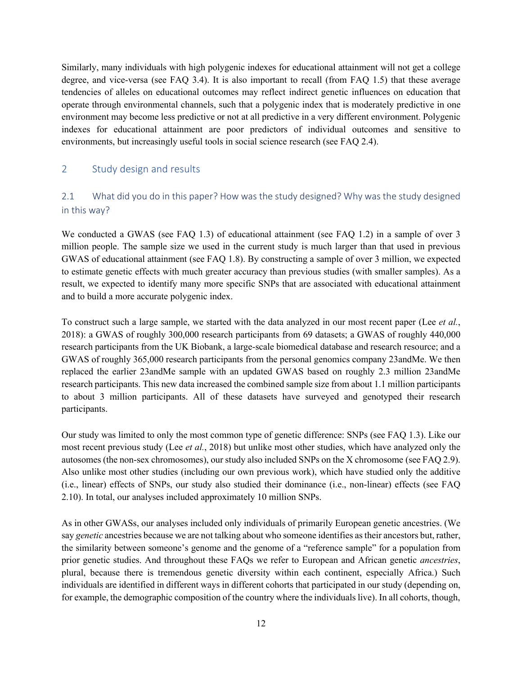Similarly, many individuals with high polygenic indexes for educational attainment will not get a college degree, and vice-versa (see FAQ 3.4). It is also important to recall (from FAQ 1.5) that these average tendencies of alleles on educational outcomes may reflect indirect genetic influences on education that operate through environmental channels, such that a polygenic index that is moderately predictive in one environment may become less predictive or not at all predictive in a very different environment. Polygenic indexes for educational attainment are poor predictors of individual outcomes and sensitive to environments, but increasingly useful tools in social science research (see FAQ 2.4).

### 2 Study design and results

# 2.1 What did you do in this paper? How was the study designed? Why was the study designed in this way?

We conducted a GWAS (see FAQ 1.3) of educational attainment (see FAQ 1.2) in a sample of over 3 million people. The sample size we used in the current study is much larger than that used in previous GWAS of educational attainment (see FAQ 1.8). By constructing a sample of over 3 million, we expected to estimate genetic effects with much greater accuracy than previous studies (with smaller samples). As a result, we expected to identify many more specific SNPs that are associated with educational attainment and to build a more accurate polygenic index.

To construct such a large sample, we started with the data analyzed in our most recent paper (Lee *et al.*, 2018): a GWAS of roughly 300,000 research participants from 69 datasets; a GWAS of roughly 440,000 research participants from the UK Biobank, a large-scale biomedical database and research resource; and a GWAS of roughly 365,000 research participants from the personal genomics company 23andMe. We then replaced the earlier 23andMe sample with an updated GWAS based on roughly 2.3 million 23andMe research participants. This new data increased the combined sample size from about 1.1 million participants to about 3 million participants. All of these datasets have surveyed and genotyped their research participants.

Our study was limited to only the most common type of genetic difference: SNPs (see FAQ 1.3). Like our most recent previous study (Lee *et al.*, 2018) but unlike most other studies, which have analyzed only the autosomes (the non-sex chromosomes), our study also included SNPs on the X chromosome (see FAQ 2.9). Also unlike most other studies (including our own previous work), which have studied only the additive (i.e., linear) effects of SNPs, our study also studied their dominance (i.e., non-linear) effects (see FAQ 2.10). In total, our analyses included approximately 10 million SNPs.

As in other GWASs, our analyses included only individuals of primarily European genetic ancestries. (We say *genetic* ancestries because we are not talking about who someone identifies as their ancestors but, rather, the similarity between someone's genome and the genome of a "reference sample" for a population from prior genetic studies. And throughout these FAQs we refer to European and African genetic *ancestries*, plural, because there is tremendous genetic diversity within each continent, especially Africa.) Such individuals are identified in different ways in different cohorts that participated in our study (depending on, for example, the demographic composition of the country where the individuals live). In all cohorts, though,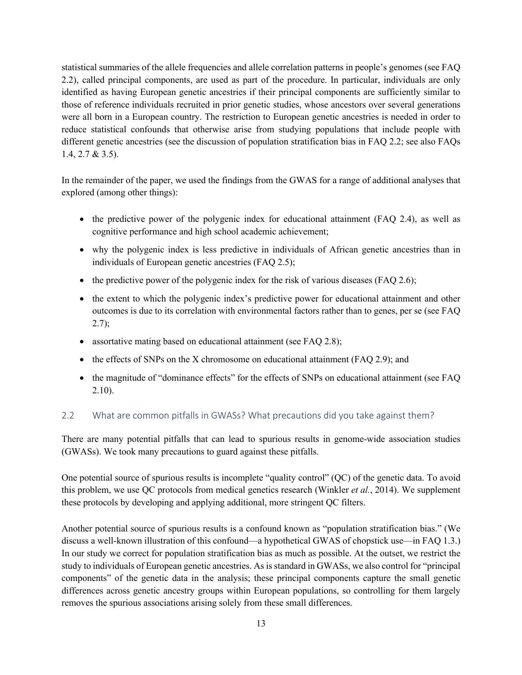statistical summaries of the allele frequencies and allele correlation patterns in people's genomes (see FAQ 2.2), called principal components, are used as part of the procedure. In particular, individuals are only identified as having European genetic ancestries if their principal components are sufficiently similar to those of reference individuals recruited in prior genetic studies, whose ancestors over several generations were all born in a European country. The restriction to European genetic ancestries is needed in order to reduce statistical confounds that otherwise arise from studying populations that include people with different genetic ancestries (see the discussion of population stratification bias in FAQ 2.2; see also FAQs 1.4, 2.7 & 3.5).

In the remainder of the paper, we used the findings from the GWAS for a range of additional analyses that explored (among other things):

- the predictive power of the polygenic index for educational attainment (FAQ 2.4), as well as cognitive performance and high school academic achievement;
- why the polygenic index is less predictive in individuals of African genetic ancestries than in individuals of European genetic ancestries (FAQ 2.5);
- the predictive power of the polygenic index for the risk of various diseases (FAQ 2.6);
- the extent to which the polygenic index's predictive power for educational attainment and other outcomes is due to its correlation with environmental factors rather than to genes, per se (see FAQ 2.7);
- assortative mating based on educational attainment (see FAQ 2.8);
- the effects of SNPs on the X chromosome on educational attainment (FAQ 2.9); and
- the magnitude of "dominance effects" for the effects of SNPs on educational attainment (see FAQ 2.10).

### 2.2 What are common pitfalls in GWASs? What precautions did you take against them?

There are many potential pitfalls that can lead to spurious results in genome-wide association studies (GWASs). We took many precautions to guard against these pitfalls.

One potential source of spurious results is incomplete "quality control" (QC) of the genetic data. To avoid this problem, we use QC protocols from medical genetics research (Winkler *et al.*, 2014). We supplement these protocols by developing and applying additional, more stringent QC filters.

Another potential source of spurious results is a confound known as "population stratification bias." (We discuss a well-known illustration of this confound—a hypothetical GWAS of chopstick use—in FAQ 1.3.) In our study we correct for population stratification bias as much as possible. At the outset, we restrict the study to individuals of European genetic ancestries. As is standard in GWASs, we also control for "principal components" of the genetic data in the analysis; these principal components capture the small genetic differences across genetic ancestry groups within European populations, so controlling for them largely removes the spurious associations arising solely from these small differences.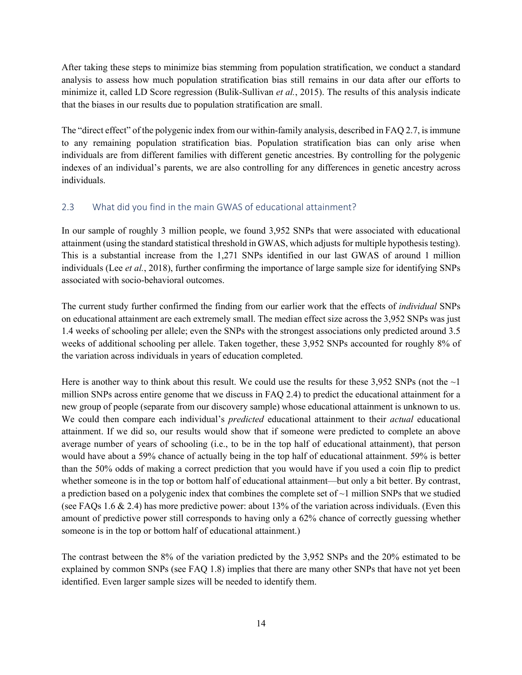After taking these steps to minimize bias stemming from population stratification, we conduct a standard analysis to assess how much population stratification bias still remains in our data after our efforts to minimize it, called LD Score regression (Bulik-Sullivan *et al.*, 2015). The results of this analysis indicate that the biases in our results due to population stratification are small.

The "direct effect" of the polygenic index from our within-family analysis, described in FAQ 2.7, is immune to any remaining population stratification bias. Population stratification bias can only arise when individuals are from different families with different genetic ancestries. By controlling for the polygenic indexes of an individual's parents, we are also controlling for any differences in genetic ancestry across individuals.

### 2.3 What did you find in the main GWAS of educational attainment?

In our sample of roughly 3 million people, we found 3,952 SNPs that were associated with educational attainment (using the standard statistical threshold in GWAS, which adjusts for multiple hypothesis testing). This is a substantial increase from the 1,271 SNPs identified in our last GWAS of around 1 million individuals (Lee *et al.*, 2018), further confirming the importance of large sample size for identifying SNPs associated with socio-behavioral outcomes.

The current study further confirmed the finding from our earlier work that the effects of *individual* SNPs on educational attainment are each extremely small. The median effect size across the 3,952 SNPs was just 1.4 weeks of schooling per allele; even the SNPs with the strongest associations only predicted around 3.5 weeks of additional schooling per allele. Taken together, these 3,952 SNPs accounted for roughly 8% of the variation across individuals in years of education completed.

Here is another way to think about this result. We could use the results for these 3,952 SNPs (not the  $\sim$ 1) million SNPs across entire genome that we discuss in FAQ 2.4) to predict the educational attainment for a new group of people (separate from our discovery sample) whose educational attainment is unknown to us. We could then compare each individual's *predicted* educational attainment to their *actual* educational attainment. If we did so, our results would show that if someone were predicted to complete an above average number of years of schooling (i.e., to be in the top half of educational attainment), that person would have about a 59% chance of actually being in the top half of educational attainment. 59% is better than the 50% odds of making a correct prediction that you would have if you used a coin flip to predict whether someone is in the top or bottom half of educational attainment—but only a bit better. By contrast, a prediction based on a polygenic index that combines the complete set of  $\sim$ 1 million SNPs that we studied (see FAQs 1.6 & 2.4) has more predictive power: about 13% of the variation across individuals. (Even this amount of predictive power still corresponds to having only a 62% chance of correctly guessing whether someone is in the top or bottom half of educational attainment.)

The contrast between the 8% of the variation predicted by the 3,952 SNPs and the 20% estimated to be explained by common SNPs (see FAQ 1.8) implies that there are many other SNPs that have not yet been identified. Even larger sample sizes will be needed to identify them.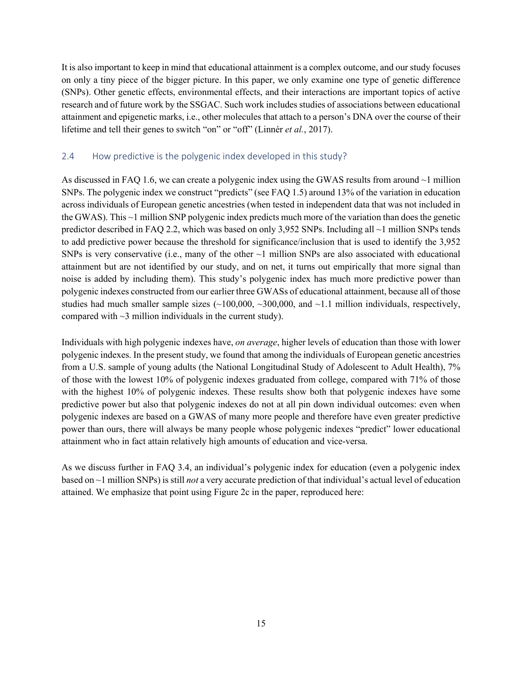It is also important to keep in mind that educational attainment is a complex outcome, and our study focuses on only a tiny piece of the bigger picture. In this paper, we only examine one type of genetic difference (SNPs). Other genetic effects, environmental effects, and their interactions are important topics of active research and of future work by the SSGAC. Such work includes studies of associations between educational attainment and epigenetic marks, i.e., other molecules that attach to a person's DNA over the course of their lifetime and tell their genes to switch "on" or "off" (Linnér *et al.*, 2017).

### 2.4 How predictive is the polygenic index developed in this study?

As discussed in FAQ 1.6, we can create a polygenic index using the GWAS results from around ~1 million SNPs. The polygenic index we construct "predicts" (see FAQ 1.5) around 13% of the variation in education across individuals of European genetic ancestries (when tested in independent data that was not included in the GWAS). This ~1 million SNP polygenic index predicts much more of the variation than does the genetic predictor described in FAQ 2.2, which was based on only 3,952 SNPs. Including all ~1 million SNPs tends to add predictive power because the threshold for significance/inclusion that is used to identify the 3,952 SNPs is very conservative (i.e., many of the other  $\sim$ 1 million SNPs are also associated with educational attainment but are not identified by our study, and on net, it turns out empirically that more signal than noise is added by including them). This study's polygenic index has much more predictive power than polygenic indexes constructed from our earlier three GWASs of educational attainment, because all of those studies had much smaller sample sizes  $(\sim 100,000, \sim 300,000, \text{ and } \sim 1.1 \text{ million individuals, respectively},$ compared with ~3 million individuals in the current study).

Individuals with high polygenic indexes have, *on average*, higher levels of education than those with lower polygenic indexes. In the present study, we found that among the individuals of European genetic ancestries from a U.S. sample of young adults (the National Longitudinal Study of Adolescent to Adult Health), 7% of those with the lowest 10% of polygenic indexes graduated from college, compared with 71% of those with the highest 10% of polygenic indexes. These results show both that polygenic indexes have some predictive power but also that polygenic indexes do not at all pin down individual outcomes: even when polygenic indexes are based on a GWAS of many more people and therefore have even greater predictive power than ours, there will always be many people whose polygenic indexes "predict" lower educational attainment who in fact attain relatively high amounts of education and vice-versa.

As we discuss further in FAQ 3.4, an individual's polygenic index for education (even a polygenic index based on ~1 million SNPs) is still *not* a very accurate prediction of that individual's actual level of education attained. We emphasize that point using Figure 2c in the paper, reproduced here: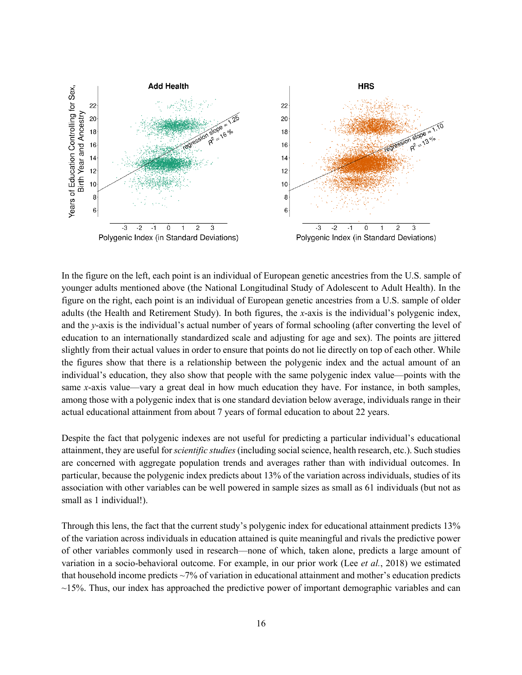

In the figure on the left, each point is an individual of European genetic ancestries from the U.S. sample of younger adults mentioned above (the National Longitudinal Study of Adolescent to Adult Health). In the figure on the right, each point is an individual of European genetic ancestries from a U.S. sample of older adults (the Health and Retirement Study). In both figures, the *x*-axis is the individual's polygenic index, and the *y*-axis is the individual's actual number of years of formal schooling (after converting the level of education to an internationally standardized scale and adjusting for age and sex). The points are jittered slightly from their actual values in order to ensure that points do not lie directly on top of each other. While the figures show that there is a relationship between the polygenic index and the actual amount of an individual's education, they also show that people with the same polygenic index value—points with the same *x*-axis value—vary a great deal in how much education they have. For instance, in both samples, among those with a polygenic index that is one standard deviation below average, individuals range in their actual educational attainment from about 7 years of formal education to about 22 years.

Despite the fact that polygenic indexes are not useful for predicting a particular individual's educational attainment, they are useful for *scientific studies* (including social science, health research, etc.). Such studies are concerned with aggregate population trends and averages rather than with individual outcomes. In particular, because the polygenic index predicts about 13% of the variation across individuals, studies of its association with other variables can be well powered in sample sizes as small as 61 individuals (but not as small as 1 individual!).

Through this lens, the fact that the current study's polygenic index for educational attainment predicts 13% of the variation across individuals in education attained is quite meaningful and rivals the predictive power of other variables commonly used in research—none of which, taken alone, predicts a large amount of variation in a socio-behavioral outcome. For example, in our prior work (Lee *et al.*, 2018) we estimated that household income predicts ~7% of variation in educational attainment and mother's education predicts  $\sim$ 15%. Thus, our index has approached the predictive power of important demographic variables and can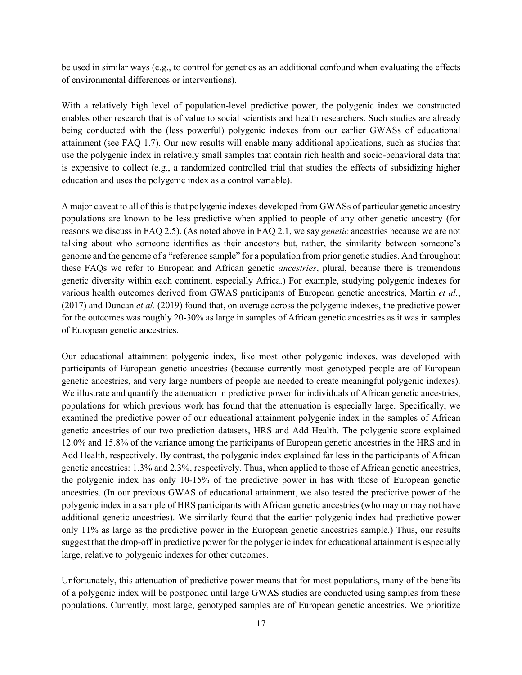be used in similar ways (e.g., to control for genetics as an additional confound when evaluating the effects of environmental differences or interventions).

With a relatively high level of population-level predictive power, the polygenic index we constructed enables other research that is of value to social scientists and health researchers. Such studies are already being conducted with the (less powerful) polygenic indexes from our earlier GWASs of educational attainment (see FAQ 1.7). Our new results will enable many additional applications, such as studies that use the polygenic index in relatively small samples that contain rich health and socio-behavioral data that is expensive to collect (e.g., a randomized controlled trial that studies the effects of subsidizing higher education and uses the polygenic index as a control variable).

A major caveat to all of this is that polygenic indexes developed from GWASs of particular genetic ancestry populations are known to be less predictive when applied to people of any other genetic ancestry (for reasons we discuss in FAQ 2.5). (As noted above in FAQ 2.1, we say *genetic* ancestries because we are not talking about who someone identifies as their ancestors but, rather, the similarity between someone's genome and the genome of a "reference sample" for a population from prior genetic studies. And throughout these FAQs we refer to European and African genetic *ancestries*, plural, because there is tremendous genetic diversity within each continent, especially Africa.) For example, studying polygenic indexes for various health outcomes derived from GWAS participants of European genetic ancestries, Martin *et al.*, (2017) and Duncan *et al.* (2019) found that, on average across the polygenic indexes, the predictive power for the outcomes was roughly 20-30% as large in samples of African genetic ancestries as it was in samples of European genetic ancestries.

Our educational attainment polygenic index, like most other polygenic indexes, was developed with participants of European genetic ancestries (because currently most genotyped people are of European genetic ancestries, and very large numbers of people are needed to create meaningful polygenic indexes). We illustrate and quantify the attenuation in predictive power for individuals of African genetic ancestries, populations for which previous work has found that the attenuation is especially large. Specifically, we examined the predictive power of our educational attainment polygenic index in the samples of African genetic ancestries of our two prediction datasets, HRS and Add Health. The polygenic score explained 12.0% and 15.8% of the variance among the participants of European genetic ancestries in the HRS and in Add Health, respectively. By contrast, the polygenic index explained far less in the participants of African genetic ancestries: 1.3% and 2.3%, respectively. Thus, when applied to those of African genetic ancestries, the polygenic index has only 10-15% of the predictive power in has with those of European genetic ancestries. (In our previous GWAS of educational attainment, we also tested the predictive power of the polygenic index in a sample of HRS participants with African genetic ancestries (who may or may not have additional genetic ancestries). We similarly found that the earlier polygenic index had predictive power only 11% as large as the predictive power in the European genetic ancestries sample.) Thus, our results suggest that the drop-off in predictive power for the polygenic index for educational attainment is especially large, relative to polygenic indexes for other outcomes.

Unfortunately, this attenuation of predictive power means that for most populations, many of the benefits of a polygenic index will be postponed until large GWAS studies are conducted using samples from these populations. Currently, most large, genotyped samples are of European genetic ancestries. We prioritize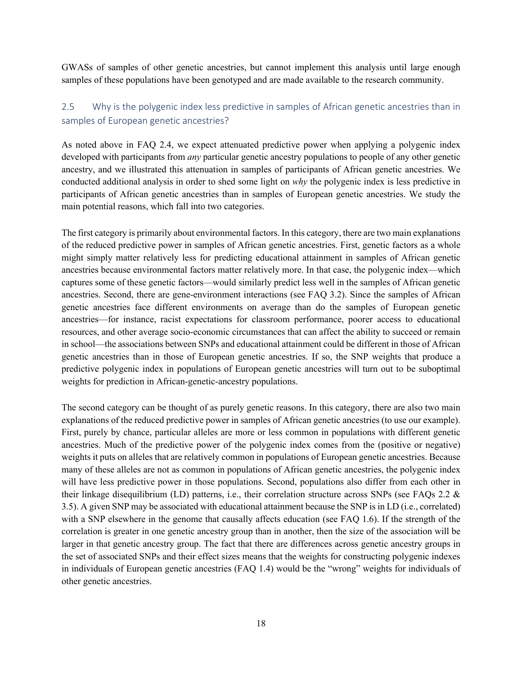GWASs of samples of other genetic ancestries, but cannot implement this analysis until large enough samples of these populations have been genotyped and are made available to the research community.

# 2.5 Why is the polygenic index less predictive in samples of African genetic ancestries than in samples of European genetic ancestries?

As noted above in FAQ 2.4, we expect attenuated predictive power when applying a polygenic index developed with participants from *any* particular genetic ancestry populations to people of any other genetic ancestry, and we illustrated this attenuation in samples of participants of African genetic ancestries. We conducted additional analysis in order to shed some light on *why* the polygenic index is less predictive in participants of African genetic ancestries than in samples of European genetic ancestries. We study the main potential reasons, which fall into two categories.

The first category is primarily about environmental factors. In this category, there are two main explanations of the reduced predictive power in samples of African genetic ancestries. First, genetic factors as a whole might simply matter relatively less for predicting educational attainment in samples of African genetic ancestries because environmental factors matter relatively more. In that case, the polygenic index—which captures some of these genetic factors—would similarly predict less well in the samples of African genetic ancestries. Second, there are gene-environment interactions (see FAQ 3.2). Since the samples of African genetic ancestries face different environments on average than do the samples of European genetic ancestries—for instance, racist expectations for classroom performance, poorer access to educational resources, and other average socio-economic circumstances that can affect the ability to succeed or remain in school—the associations between SNPs and educational attainment could be different in those of African genetic ancestries than in those of European genetic ancestries. If so, the SNP weights that produce a predictive polygenic index in populations of European genetic ancestries will turn out to be suboptimal weights for prediction in African-genetic-ancestry populations.

The second category can be thought of as purely genetic reasons. In this category, there are also two main explanations of the reduced predictive power in samples of African genetic ancestries (to use our example). First, purely by chance, particular alleles are more or less common in populations with different genetic ancestries. Much of the predictive power of the polygenic index comes from the (positive or negative) weights it puts on alleles that are relatively common in populations of European genetic ancestries. Because many of these alleles are not as common in populations of African genetic ancestries, the polygenic index will have less predictive power in those populations. Second, populations also differ from each other in their linkage disequilibrium (LD) patterns, i.e., their correlation structure across SNPs (see FAQs 2.2 & 3.5). A given SNP may be associated with educational attainment because the SNP is in LD (i.e., correlated) with a SNP elsewhere in the genome that causally affects education (see FAQ 1.6). If the strength of the correlation is greater in one genetic ancestry group than in another, then the size of the association will be larger in that genetic ancestry group. The fact that there are differences across genetic ancestry groups in the set of associated SNPs and their effect sizes means that the weights for constructing polygenic indexes in individuals of European genetic ancestries (FAQ 1.4) would be the "wrong" weights for individuals of other genetic ancestries.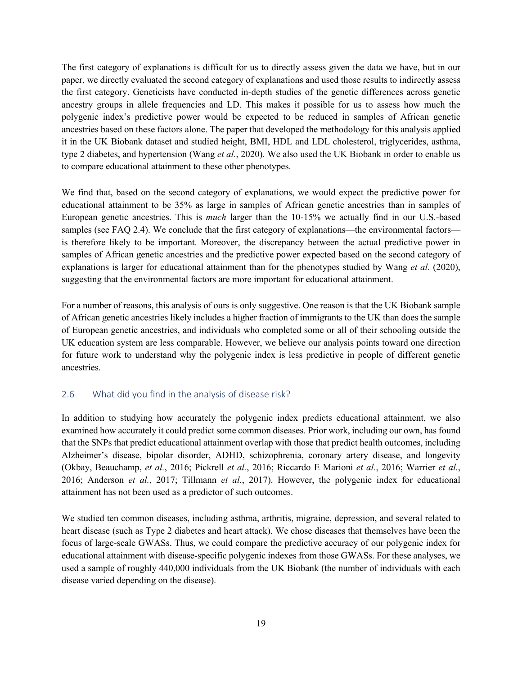The first category of explanations is difficult for us to directly assess given the data we have, but in our paper, we directly evaluated the second category of explanations and used those results to indirectly assess the first category. Geneticists have conducted in-depth studies of the genetic differences across genetic ancestry groups in allele frequencies and LD. This makes it possible for us to assess how much the polygenic index's predictive power would be expected to be reduced in samples of African genetic ancestries based on these factors alone. The paper that developed the methodology for this analysis applied it in the UK Biobank dataset and studied height, BMI, HDL and LDL cholesterol, triglycerides, asthma, type 2 diabetes, and hypertension (Wang *et al.*, 2020). We also used the UK Biobank in order to enable us to compare educational attainment to these other phenotypes.

We find that, based on the second category of explanations, we would expect the predictive power for educational attainment to be 35% as large in samples of African genetic ancestries than in samples of European genetic ancestries. This is *much* larger than the 10-15% we actually find in our U.S.-based samples (see FAQ 2.4). We conclude that the first category of explanations—the environmental factors is therefore likely to be important. Moreover, the discrepancy between the actual predictive power in samples of African genetic ancestries and the predictive power expected based on the second category of explanations is larger for educational attainment than for the phenotypes studied by Wang *et al.* (2020), suggesting that the environmental factors are more important for educational attainment.

For a number of reasons, this analysis of ours is only suggestive. One reason is that the UK Biobank sample of African genetic ancestries likely includes a higher fraction of immigrants to the UK than does the sample of European genetic ancestries, and individuals who completed some or all of their schooling outside the UK education system are less comparable. However, we believe our analysis points toward one direction for future work to understand why the polygenic index is less predictive in people of different genetic ancestries.

#### 2.6 What did you find in the analysis of disease risk?

In addition to studying how accurately the polygenic index predicts educational attainment, we also examined how accurately it could predict some common diseases. Prior work, including our own, has found that the SNPs that predict educational attainment overlap with those that predict health outcomes, including Alzheimer's disease, bipolar disorder, ADHD, schizophrenia, coronary artery disease, and longevity (Okbay, Beauchamp, *et al.*, 2016; Pickrell *et al.*, 2016; Riccardo E Marioni *et al.*, 2016; Warrier *et al.*, 2016; Anderson *et al.*, 2017; Tillmann *et al.*, 2017). However, the polygenic index for educational attainment has not been used as a predictor of such outcomes.

We studied ten common diseases, including asthma, arthritis, migraine, depression, and several related to heart disease (such as Type 2 diabetes and heart attack). We chose diseases that themselves have been the focus of large-scale GWASs. Thus, we could compare the predictive accuracy of our polygenic index for educational attainment with disease-specific polygenic indexes from those GWASs. For these analyses, we used a sample of roughly 440,000 individuals from the UK Biobank (the number of individuals with each disease varied depending on the disease).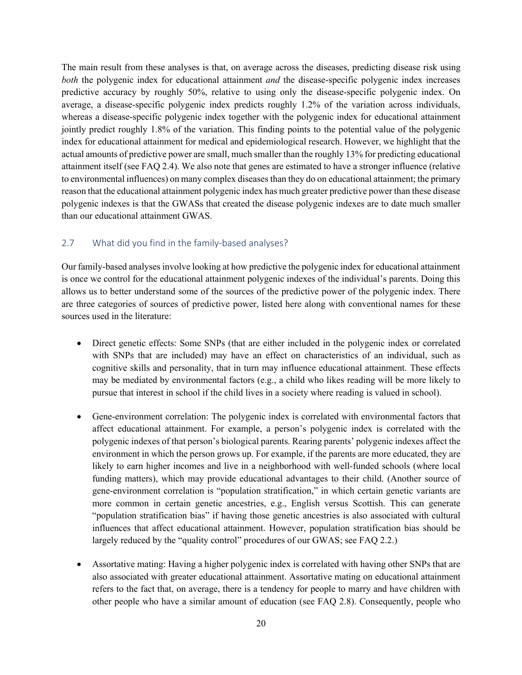The main result from these analyses is that, on average across the diseases, predicting disease risk using *both* the polygenic index for educational attainment *and* the disease-specific polygenic index increases predictive accuracy by roughly 50%, relative to using only the disease-specific polygenic index. On average, a disease-specific polygenic index predicts roughly 1.2% of the variation across individuals, whereas a disease-specific polygenic index together with the polygenic index for educational attainment jointly predict roughly 1.8% of the variation. This finding points to the potential value of the polygenic index for educational attainment for medical and epidemiological research. However, we highlight that the actual amounts of predictive power are small, much smaller than the roughly 13% for predicting educational attainment itself (see FAQ 2.4). We also note that genes are estimated to have a stronger influence (relative to environmental influences) on many complex diseases than they do on educational attainment; the primary reason that the educational attainment polygenic index has much greater predictive power than these disease polygenic indexes is that the GWASs that created the disease polygenic indexes are to date much smaller than our educational attainment GWAS.

#### 2.7 What did you find in the family-based analyses?

Our family-based analyses involve looking at how predictive the polygenic index for educational attainment is once we control for the educational attainment polygenic indexes of the individual's parents. Doing this allows us to better understand some of the sources of the predictive power of the polygenic index. There are three categories of sources of predictive power, listed here along with conventional names for these sources used in the literature:

- Direct genetic effects: Some SNPs (that are either included in the polygenic index or correlated with SNPs that are included) may have an effect on characteristics of an individual, such as cognitive skills and personality, that in turn may influence educational attainment. These effects may be mediated by environmental factors (e.g., a child who likes reading will be more likely to pursue that interest in school if the child lives in a society where reading is valued in school).
- Gene-environment correlation: The polygenic index is correlated with environmental factors that affect educational attainment. For example, a person's polygenic index is correlated with the polygenic indexes of that person's biological parents. Rearing parents' polygenic indexes affect the environment in which the person grows up. For example, if the parents are more educated, they are likely to earn higher incomes and live in a neighborhood with well-funded schools (where local funding matters), which may provide educational advantages to their child. (Another source of gene-environment correlation is "population stratification," in which certain genetic variants are more common in certain genetic ancestries, e.g., English versus Scottish. This can generate "population stratification bias" if having those genetic ancestries is also associated with cultural influences that affect educational attainment. However, population stratification bias should be largely reduced by the "quality control" procedures of our GWAS; see FAQ 2.2.)
- Assortative mating: Having a higher polygenic index is correlated with having other SNPs that are also associated with greater educational attainment. Assortative mating on educational attainment refers to the fact that, on average, there is a tendency for people to marry and have children with other people who have a similar amount of education (see FAQ 2.8). Consequently, people who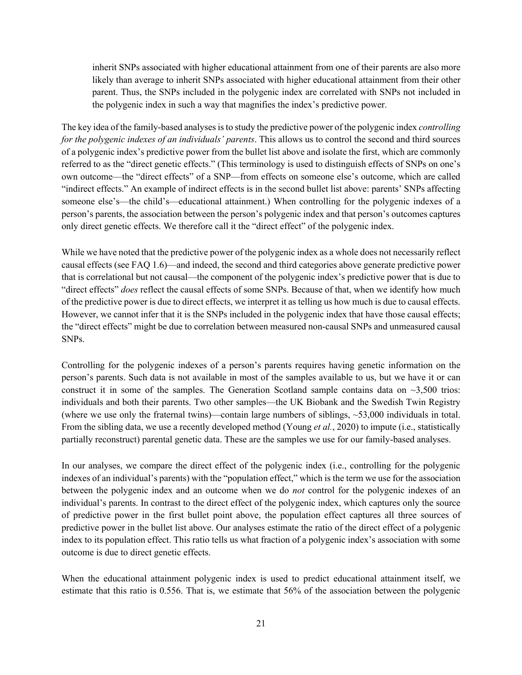inherit SNPs associated with higher educational attainment from one of their parents are also more likely than average to inherit SNPs associated with higher educational attainment from their other parent. Thus, the SNPs included in the polygenic index are correlated with SNPs not included in the polygenic index in such a way that magnifies the index's predictive power.

The key idea of the family-based analyses is to study the predictive power of the polygenic index *controlling for the polygenic indexes of an individuals' parents*. This allows us to control the second and third sources of a polygenic index's predictive power from the bullet list above and isolate the first, which are commonly referred to as the "direct genetic effects." (This terminology is used to distinguish effects of SNPs on one's own outcome—the "direct effects" of a SNP—from effects on someone else's outcome, which are called "indirect effects." An example of indirect effects is in the second bullet list above: parents' SNPs affecting someone else's—the child's—educational attainment.) When controlling for the polygenic indexes of a person's parents, the association between the person's polygenic index and that person's outcomes captures only direct genetic effects. We therefore call it the "direct effect" of the polygenic index.

While we have noted that the predictive power of the polygenic index as a whole does not necessarily reflect causal effects (see FAQ 1.6)—and indeed, the second and third categories above generate predictive power that is correlational but not causal—the component of the polygenic index's predictive power that is due to "direct effects" *does* reflect the causal effects of some SNPs. Because of that, when we identify how much of the predictive power is due to direct effects, we interpret it as telling us how much is due to causal effects. However, we cannot infer that it is the SNPs included in the polygenic index that have those causal effects; the "direct effects" might be due to correlation between measured non-causal SNPs and unmeasured causal SNPs.

Controlling for the polygenic indexes of a person's parents requires having genetic information on the person's parents. Such data is not available in most of the samples available to us, but we have it or can construct it in some of the samples. The Generation Scotland sample contains data on  $\sim$ 3,500 trios: individuals and both their parents. Two other samples—the UK Biobank and the Swedish Twin Registry (where we use only the fraternal twins)—contain large numbers of siblings, ~53,000 individuals in total. From the sibling data, we use a recently developed method (Young *et al.*, 2020) to impute (i.e., statistically partially reconstruct) parental genetic data. These are the samples we use for our family-based analyses.

In our analyses, we compare the direct effect of the polygenic index (i.e., controlling for the polygenic indexes of an individual's parents) with the "population effect," which is the term we use for the association between the polygenic index and an outcome when we do *not* control for the polygenic indexes of an individual's parents. In contrast to the direct effect of the polygenic index, which captures only the source of predictive power in the first bullet point above, the population effect captures all three sources of predictive power in the bullet list above. Our analyses estimate the ratio of the direct effect of a polygenic index to its population effect. This ratio tells us what fraction of a polygenic index's association with some outcome is due to direct genetic effects.

When the educational attainment polygenic index is used to predict educational attainment itself, we estimate that this ratio is 0.556. That is, we estimate that 56% of the association between the polygenic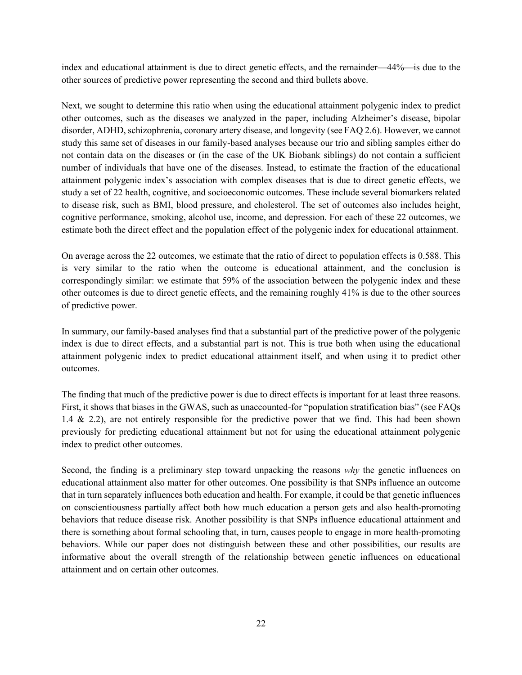index and educational attainment is due to direct genetic effects, and the remainder—44%—is due to the other sources of predictive power representing the second and third bullets above.

Next, we sought to determine this ratio when using the educational attainment polygenic index to predict other outcomes, such as the diseases we analyzed in the paper, including Alzheimer's disease, bipolar disorder, ADHD, schizophrenia, coronary artery disease, and longevity (see FAQ 2.6). However, we cannot study this same set of diseases in our family-based analyses because our trio and sibling samples either do not contain data on the diseases or (in the case of the UK Biobank siblings) do not contain a sufficient number of individuals that have one of the diseases. Instead, to estimate the fraction of the educational attainment polygenic index's association with complex diseases that is due to direct genetic effects, we study a set of 22 health, cognitive, and socioeconomic outcomes. These include several biomarkers related to disease risk, such as BMI, blood pressure, and cholesterol. The set of outcomes also includes height, cognitive performance, smoking, alcohol use, income, and depression. For each of these 22 outcomes, we estimate both the direct effect and the population effect of the polygenic index for educational attainment.

On average across the 22 outcomes, we estimate that the ratio of direct to population effects is 0.588. This is very similar to the ratio when the outcome is educational attainment, and the conclusion is correspondingly similar: we estimate that 59% of the association between the polygenic index and these other outcomes is due to direct genetic effects, and the remaining roughly 41% is due to the other sources of predictive power.

In summary, our family-based analyses find that a substantial part of the predictive power of the polygenic index is due to direct effects, and a substantial part is not. This is true both when using the educational attainment polygenic index to predict educational attainment itself, and when using it to predict other outcomes.

The finding that much of the predictive power is due to direct effects is important for at least three reasons. First, it shows that biases in the GWAS, such as unaccounted-for "population stratification bias" (see FAQs 1.4 & 2.2), are not entirely responsible for the predictive power that we find. This had been shown previously for predicting educational attainment but not for using the educational attainment polygenic index to predict other outcomes.

Second, the finding is a preliminary step toward unpacking the reasons *why* the genetic influences on educational attainment also matter for other outcomes. One possibility is that SNPs influence an outcome that in turn separately influences both education and health. For example, it could be that genetic influences on conscientiousness partially affect both how much education a person gets and also health-promoting behaviors that reduce disease risk. Another possibility is that SNPs influence educational attainment and there is something about formal schooling that, in turn, causes people to engage in more health-promoting behaviors. While our paper does not distinguish between these and other possibilities, our results are informative about the overall strength of the relationship between genetic influences on educational attainment and on certain other outcomes.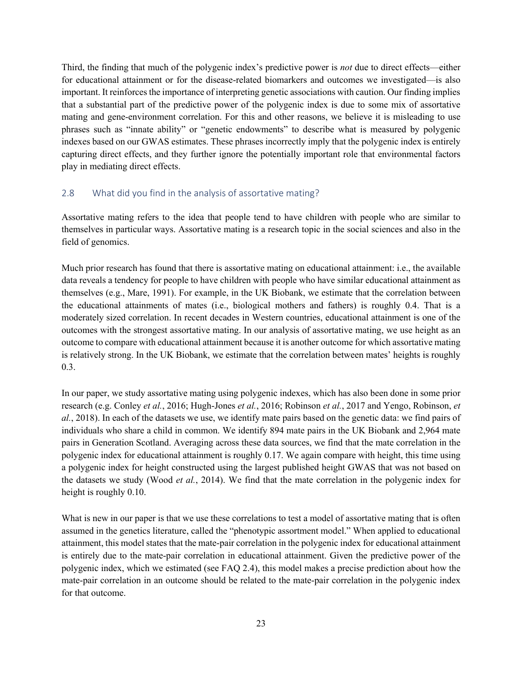Third, the finding that much of the polygenic index's predictive power is *not* due to direct effects—either for educational attainment or for the disease-related biomarkers and outcomes we investigated—is also important. It reinforces the importance of interpreting genetic associations with caution. Our finding implies that a substantial part of the predictive power of the polygenic index is due to some mix of assortative mating and gene-environment correlation. For this and other reasons, we believe it is misleading to use phrases such as "innate ability" or "genetic endowments" to describe what is measured by polygenic indexes based on our GWAS estimates. These phrases incorrectly imply that the polygenic index is entirely capturing direct effects, and they further ignore the potentially important role that environmental factors play in mediating direct effects.

### 2.8 What did you find in the analysis of assortative mating?

Assortative mating refers to the idea that people tend to have children with people who are similar to themselves in particular ways. Assortative mating is a research topic in the social sciences and also in the field of genomics.

Much prior research has found that there is assortative mating on educational attainment: i.e., the available data reveals a tendency for people to have children with people who have similar educational attainment as themselves (e.g., Mare, 1991). For example, in the UK Biobank, we estimate that the correlation between the educational attainments of mates (i.e., biological mothers and fathers) is roughly 0.4. That is a moderately sized correlation. In recent decades in Western countries, educational attainment is one of the outcomes with the strongest assortative mating. In our analysis of assortative mating, we use height as an outcome to compare with educational attainment because it is another outcome for which assortative mating is relatively strong. In the UK Biobank, we estimate that the correlation between mates' heights is roughly 0.3.

In our paper, we study assortative mating using polygenic indexes, which has also been done in some prior research (e.g. Conley *et al.*, 2016; Hugh-Jones *et al.*, 2016; Robinson *et al.*, 2017 and Yengo, Robinson, *et al.*, 2018). In each of the datasets we use, we identify mate pairs based on the genetic data: we find pairs of individuals who share a child in common. We identify 894 mate pairs in the UK Biobank and 2,964 mate pairs in Generation Scotland. Averaging across these data sources, we find that the mate correlation in the polygenic index for educational attainment is roughly 0.17. We again compare with height, this time using a polygenic index for height constructed using the largest published height GWAS that was not based on the datasets we study (Wood *et al.*, 2014). We find that the mate correlation in the polygenic index for height is roughly 0.10.

What is new in our paper is that we use these correlations to test a model of assortative mating that is often assumed in the genetics literature, called the "phenotypic assortment model." When applied to educational attainment, this model states that the mate-pair correlation in the polygenic index for educational attainment is entirely due to the mate-pair correlation in educational attainment. Given the predictive power of the polygenic index, which we estimated (see FAQ 2.4), this model makes a precise prediction about how the mate-pair correlation in an outcome should be related to the mate-pair correlation in the polygenic index for that outcome.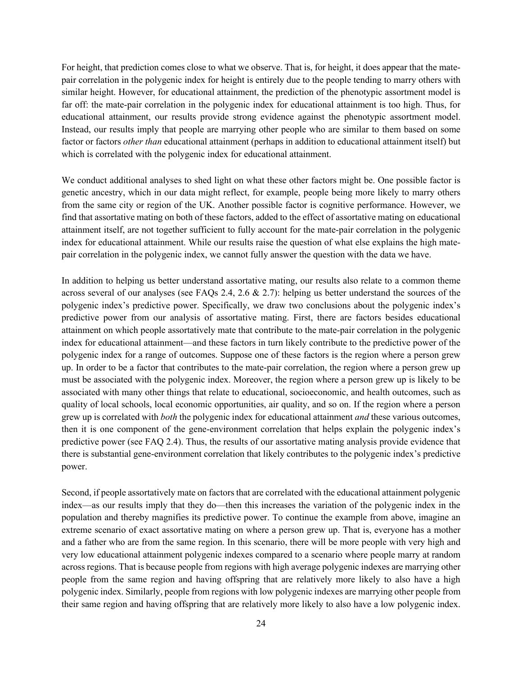For height, that prediction comes close to what we observe. That is, for height, it does appear that the matepair correlation in the polygenic index for height is entirely due to the people tending to marry others with similar height. However, for educational attainment, the prediction of the phenotypic assortment model is far off: the mate-pair correlation in the polygenic index for educational attainment is too high. Thus, for educational attainment, our results provide strong evidence against the phenotypic assortment model. Instead, our results imply that people are marrying other people who are similar to them based on some factor or factors *other than* educational attainment (perhaps in addition to educational attainment itself) but which is correlated with the polygenic index for educational attainment.

We conduct additional analyses to shed light on what these other factors might be. One possible factor is genetic ancestry, which in our data might reflect, for example, people being more likely to marry others from the same city or region of the UK. Another possible factor is cognitive performance. However, we find that assortative mating on both of these factors, added to the effect of assortative mating on educational attainment itself, are not together sufficient to fully account for the mate-pair correlation in the polygenic index for educational attainment. While our results raise the question of what else explains the high matepair correlation in the polygenic index, we cannot fully answer the question with the data we have.

In addition to helping us better understand assortative mating, our results also relate to a common theme across several of our analyses (see FAQs 2.4, 2.6 & 2.7): helping us better understand the sources of the polygenic index's predictive power. Specifically, we draw two conclusions about the polygenic index's predictive power from our analysis of assortative mating. First, there are factors besides educational attainment on which people assortatively mate that contribute to the mate-pair correlation in the polygenic index for educational attainment—and these factors in turn likely contribute to the predictive power of the polygenic index for a range of outcomes. Suppose one of these factors is the region where a person grew up. In order to be a factor that contributes to the mate-pair correlation, the region where a person grew up must be associated with the polygenic index. Moreover, the region where a person grew up is likely to be associated with many other things that relate to educational, socioeconomic, and health outcomes, such as quality of local schools, local economic opportunities, air quality, and so on. If the region where a person grew up is correlated with *both* the polygenic index for educational attainment *and* these various outcomes, then it is one component of the gene-environment correlation that helps explain the polygenic index's predictive power (see FAQ 2.4). Thus, the results of our assortative mating analysis provide evidence that there is substantial gene-environment correlation that likely contributes to the polygenic index's predictive power.

Second, if people assortatively mate on factors that are correlated with the educational attainment polygenic index—as our results imply that they do—then this increases the variation of the polygenic index in the population and thereby magnifies its predictive power. To continue the example from above, imagine an extreme scenario of exact assortative mating on where a person grew up. That is, everyone has a mother and a father who are from the same region. In this scenario, there will be more people with very high and very low educational attainment polygenic indexes compared to a scenario where people marry at random across regions. That is because people from regions with high average polygenic indexes are marrying other people from the same region and having offspring that are relatively more likely to also have a high polygenic index. Similarly, people from regions with low polygenic indexes are marrying other people from their same region and having offspring that are relatively more likely to also have a low polygenic index.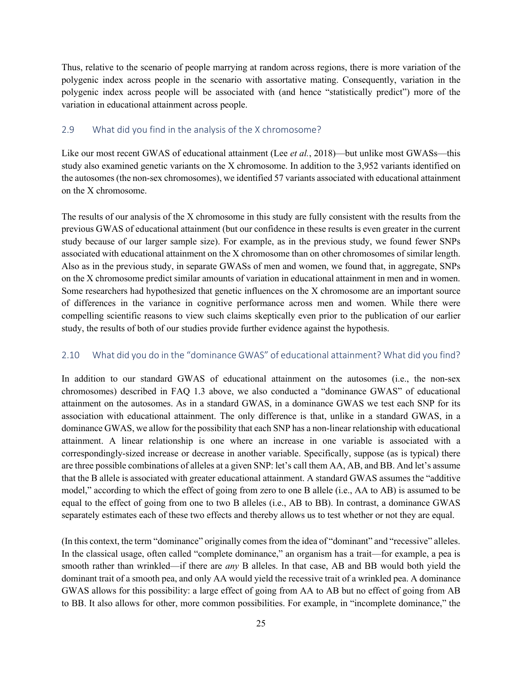Thus, relative to the scenario of people marrying at random across regions, there is more variation of the polygenic index across people in the scenario with assortative mating. Consequently, variation in the polygenic index across people will be associated with (and hence "statistically predict") more of the variation in educational attainment across people.

#### 2.9 What did you find in the analysis of the X chromosome?

Like our most recent GWAS of educational attainment (Lee *et al.*, 2018)—but unlike most GWASs—this study also examined genetic variants on the X chromosome. In addition to the 3,952 variants identified on the autosomes (the non-sex chromosomes), we identified 57 variants associated with educational attainment on the X chromosome.

The results of our analysis of the X chromosome in this study are fully consistent with the results from the previous GWAS of educational attainment (but our confidence in these results is even greater in the current study because of our larger sample size). For example, as in the previous study, we found fewer SNPs associated with educational attainment on the X chromosome than on other chromosomes of similar length. Also as in the previous study, in separate GWASs of men and women, we found that, in aggregate, SNPs on the X chromosome predict similar amounts of variation in educational attainment in men and in women. Some researchers had hypothesized that genetic influences on the X chromosome are an important source of differences in the variance in cognitive performance across men and women. While there were compelling scientific reasons to view such claims skeptically even prior to the publication of our earlier study, the results of both of our studies provide further evidence against the hypothesis.

#### 2.10 What did you do in the "dominance GWAS" of educational attainment? What did you find?

In addition to our standard GWAS of educational attainment on the autosomes (i.e., the non-sex chromosomes) described in FAQ 1.3 above, we also conducted a "dominance GWAS" of educational attainment on the autosomes. As in a standard GWAS, in a dominance GWAS we test each SNP for its association with educational attainment. The only difference is that, unlike in a standard GWAS, in a dominance GWAS, we allow for the possibility that each SNP has a non-linear relationship with educational attainment. A linear relationship is one where an increase in one variable is associated with a correspondingly-sized increase or decrease in another variable. Specifically, suppose (as is typical) there are three possible combinations of alleles at a given SNP: let's call them AA, AB, and BB. And let's assume that the B allele is associated with greater educational attainment. A standard GWAS assumes the "additive model," according to which the effect of going from zero to one B allele (i.e., AA to AB) is assumed to be equal to the effect of going from one to two B alleles (i.e., AB to BB). In contrast, a dominance GWAS separately estimates each of these two effects and thereby allows us to test whether or not they are equal.

(In this context, the term "dominance" originally comes from the idea of "dominant" and "recessive" alleles. In the classical usage, often called "complete dominance," an organism has a trait—for example, a pea is smooth rather than wrinkled—if there are *any* B alleles. In that case, AB and BB would both yield the dominant trait of a smooth pea, and only AA would yield the recessive trait of a wrinkled pea. A dominance GWAS allows for this possibility: a large effect of going from AA to AB but no effect of going from AB to BB. It also allows for other, more common possibilities. For example, in "incomplete dominance," the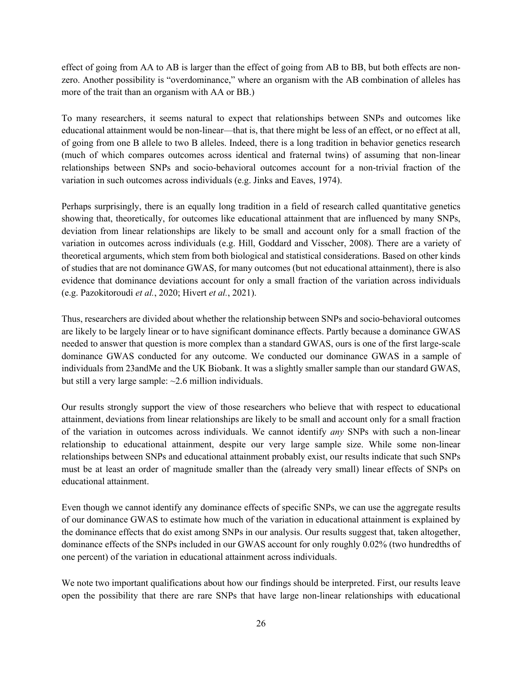effect of going from AA to AB is larger than the effect of going from AB to BB, but both effects are nonzero. Another possibility is "overdominance," where an organism with the AB combination of alleles has more of the trait than an organism with AA or BB.)

To many researchers, it seems natural to expect that relationships between SNPs and outcomes like educational attainment would be non-linear—that is, that there might be less of an effect, or no effect at all, of going from one B allele to two B alleles. Indeed, there is a long tradition in behavior genetics research (much of which compares outcomes across identical and fraternal twins) of assuming that non-linear relationships between SNPs and socio-behavioral outcomes account for a non-trivial fraction of the variation in such outcomes across individuals (e.g. Jinks and Eaves, 1974).

Perhaps surprisingly, there is an equally long tradition in a field of research called quantitative genetics showing that, theoretically, for outcomes like educational attainment that are influenced by many SNPs, deviation from linear relationships are likely to be small and account only for a small fraction of the variation in outcomes across individuals (e.g. Hill, Goddard and Visscher, 2008). There are a variety of theoretical arguments, which stem from both biological and statistical considerations. Based on other kinds of studies that are not dominance GWAS, for many outcomes (but not educational attainment), there is also evidence that dominance deviations account for only a small fraction of the variation across individuals (e.g. Pazokitoroudi *et al.*, 2020; Hivert *et al.*, 2021).

Thus, researchers are divided about whether the relationship between SNPs and socio-behavioral outcomes are likely to be largely linear or to have significant dominance effects. Partly because a dominance GWAS needed to answer that question is more complex than a standard GWAS, ours is one of the first large-scale dominance GWAS conducted for any outcome. We conducted our dominance GWAS in a sample of individuals from 23andMe and the UK Biobank. It was a slightly smaller sample than our standard GWAS, but still a very large sample: ~2.6 million individuals.

Our results strongly support the view of those researchers who believe that with respect to educational attainment, deviations from linear relationships are likely to be small and account only for a small fraction of the variation in outcomes across individuals. We cannot identify *any* SNPs with such a non-linear relationship to educational attainment, despite our very large sample size. While some non-linear relationships between SNPs and educational attainment probably exist, our results indicate that such SNPs must be at least an order of magnitude smaller than the (already very small) linear effects of SNPs on educational attainment.

Even though we cannot identify any dominance effects of specific SNPs, we can use the aggregate results of our dominance GWAS to estimate how much of the variation in educational attainment is explained by the dominance effects that do exist among SNPs in our analysis. Our results suggest that, taken altogether, dominance effects of the SNPs included in our GWAS account for only roughly 0.02% (two hundredths of one percent) of the variation in educational attainment across individuals.

We note two important qualifications about how our findings should be interpreted. First, our results leave open the possibility that there are rare SNPs that have large non-linear relationships with educational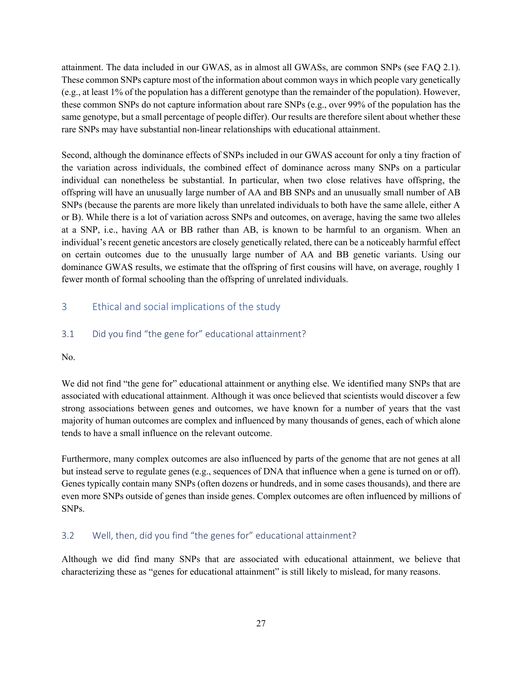attainment. The data included in our GWAS, as in almost all GWASs, are common SNPs (see FAQ 2.1). These common SNPs capture most of the information about common ways in which people vary genetically (e.g., at least 1% of the population has a different genotype than the remainder of the population). However, these common SNPs do not capture information about rare SNPs (e.g., over 99% of the population has the same genotype, but a small percentage of people differ). Our results are therefore silent about whether these rare SNPs may have substantial non-linear relationships with educational attainment.

Second, although the dominance effects of SNPs included in our GWAS account for only a tiny fraction of the variation across individuals, the combined effect of dominance across many SNPs on a particular individual can nonetheless be substantial. In particular, when two close relatives have offspring, the offspring will have an unusually large number of AA and BB SNPs and an unusually small number of AB SNPs (because the parents are more likely than unrelated individuals to both have the same allele, either A or B). While there is a lot of variation across SNPs and outcomes, on average, having the same two alleles at a SNP, i.e., having AA or BB rather than AB, is known to be harmful to an organism. When an individual's recent genetic ancestors are closely genetically related, there can be a noticeably harmful effect on certain outcomes due to the unusually large number of AA and BB genetic variants. Using our dominance GWAS results, we estimate that the offspring of first cousins will have, on average, roughly 1 fewer month of formal schooling than the offspring of unrelated individuals.

### 3 Ethical and social implications of the study

### 3.1 Did you find "the gene for" educational attainment?

#### No.

We did not find "the gene for" educational attainment or anything else. We identified many SNPs that are associated with educational attainment. Although it was once believed that scientists would discover a few strong associations between genes and outcomes, we have known for a number of years that the vast majority of human outcomes are complex and influenced by many thousands of genes, each of which alone tends to have a small influence on the relevant outcome.

Furthermore, many complex outcomes are also influenced by parts of the genome that are not genes at all but instead serve to regulate genes (e.g., sequences of DNA that influence when a gene is turned on or off). Genes typically contain many SNPs (often dozens or hundreds, and in some cases thousands), and there are even more SNPs outside of genes than inside genes. Complex outcomes are often influenced by millions of SNPs.

#### 3.2 Well, then, did you find "the genes for" educational attainment?

Although we did find many SNPs that are associated with educational attainment, we believe that characterizing these as "genes for educational attainment" is still likely to mislead, for many reasons.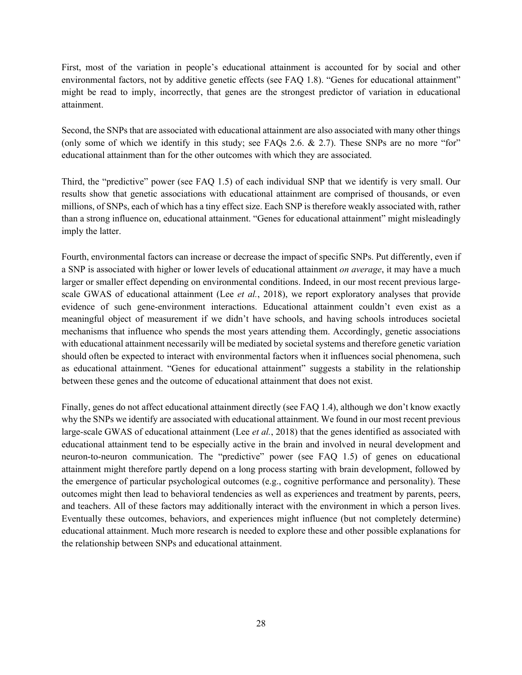First, most of the variation in people's educational attainment is accounted for by social and other environmental factors, not by additive genetic effects (see FAQ 1.8). "Genes for educational attainment" might be read to imply, incorrectly, that genes are the strongest predictor of variation in educational attainment.

Second, the SNPs that are associated with educational attainment are also associated with many other things (only some of which we identify in this study; see FAQs 2.6. & 2.7). These SNPs are no more "for" educational attainment than for the other outcomes with which they are associated.

Third, the "predictive" power (see FAQ 1.5) of each individual SNP that we identify is very small. Our results show that genetic associations with educational attainment are comprised of thousands, or even millions, of SNPs, each of which has a tiny effect size. Each SNP is therefore weakly associated with, rather than a strong influence on, educational attainment. "Genes for educational attainment" might misleadingly imply the latter.

Fourth, environmental factors can increase or decrease the impact of specific SNPs. Put differently, even if a SNP is associated with higher or lower levels of educational attainment *on average*, it may have a much larger or smaller effect depending on environmental conditions. Indeed, in our most recent previous largescale GWAS of educational attainment (Lee *et al.*, 2018), we report exploratory analyses that provide evidence of such gene-environment interactions. Educational attainment couldn't even exist as a meaningful object of measurement if we didn't have schools, and having schools introduces societal mechanisms that influence who spends the most years attending them. Accordingly, genetic associations with educational attainment necessarily will be mediated by societal systems and therefore genetic variation should often be expected to interact with environmental factors when it influences social phenomena, such as educational attainment. "Genes for educational attainment" suggests a stability in the relationship between these genes and the outcome of educational attainment that does not exist.

Finally, genes do not affect educational attainment directly (see FAQ 1.4), although we don't know exactly why the SNPs we identify are associated with educational attainment. We found in our most recent previous large-scale GWAS of educational attainment (Lee *et al.*, 2018) that the genes identified as associated with educational attainment tend to be especially active in the brain and involved in neural development and neuron-to-neuron communication. The "predictive" power (see FAQ 1.5) of genes on educational attainment might therefore partly depend on a long process starting with brain development, followed by the emergence of particular psychological outcomes (e.g., cognitive performance and personality). These outcomes might then lead to behavioral tendencies as well as experiences and treatment by parents, peers, and teachers. All of these factors may additionally interact with the environment in which a person lives. Eventually these outcomes, behaviors, and experiences might influence (but not completely determine) educational attainment. Much more research is needed to explore these and other possible explanations for the relationship between SNPs and educational attainment.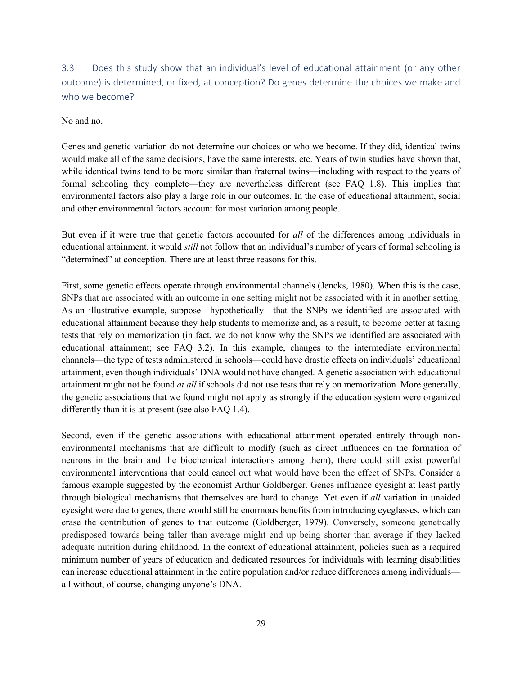3.3 Does this study show that an individual's level of educational attainment (or any other outcome) is determined, or fixed, at conception? Do genes determine the choices we make and who we become?

No and no.

Genes and genetic variation do not determine our choices or who we become. If they did, identical twins would make all of the same decisions, have the same interests, etc. Years of twin studies have shown that, while identical twins tend to be more similar than fraternal twins—including with respect to the years of formal schooling they complete—they are nevertheless different (see FAQ 1.8). This implies that environmental factors also play a large role in our outcomes. In the case of educational attainment, social and other environmental factors account for most variation among people.

But even if it were true that genetic factors accounted for *all* of the differences among individuals in educational attainment, it would *still* not follow that an individual's number of years of formal schooling is "determined" at conception. There are at least three reasons for this.

First, some genetic effects operate through environmental channels (Jencks, 1980). When this is the case, SNPs that are associated with an outcome in one setting might not be associated with it in another setting. As an illustrative example, suppose—hypothetically—that the SNPs we identified are associated with educational attainment because they help students to memorize and, as a result, to become better at taking tests that rely on memorization (in fact, we do not know why the SNPs we identified are associated with educational attainment; see FAQ 3.2). In this example, changes to the intermediate environmental channels—the type of tests administered in schools—could have drastic effects on individuals' educational attainment, even though individuals' DNA would not have changed. A genetic association with educational attainment might not be found *at all* if schools did not use tests that rely on memorization. More generally, the genetic associations that we found might not apply as strongly if the education system were organized differently than it is at present (see also FAQ 1.4).

Second, even if the genetic associations with educational attainment operated entirely through nonenvironmental mechanisms that are difficult to modify (such as direct influences on the formation of neurons in the brain and the biochemical interactions among them), there could still exist powerful environmental interventions that could cancel out what would have been the effect of SNPs. Consider a famous example suggested by the economist Arthur Goldberger. Genes influence eyesight at least partly through biological mechanisms that themselves are hard to change. Yet even if *all* variation in unaided eyesight were due to genes, there would still be enormous benefits from introducing eyeglasses, which can erase the contribution of genes to that outcome (Goldberger, 1979). Conversely, someone genetically predisposed towards being taller than average might end up being shorter than average if they lacked adequate nutrition during childhood. In the context of educational attainment, policies such as a required minimum number of years of education and dedicated resources for individuals with learning disabilities can increase educational attainment in the entire population and/or reduce differences among individuals all without, of course, changing anyone's DNA.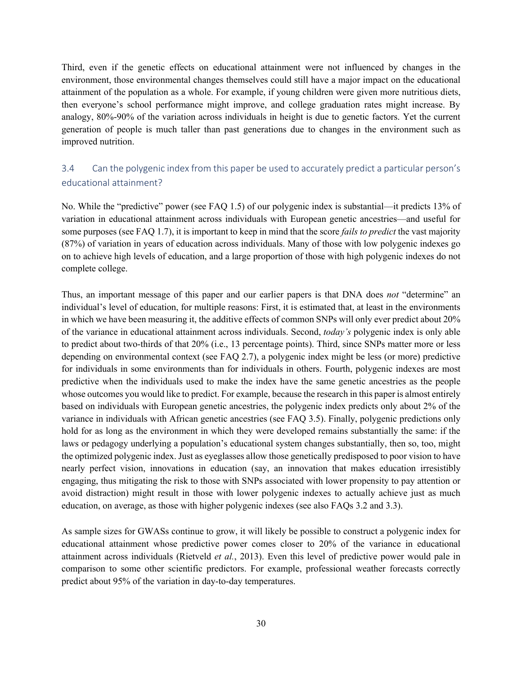Third, even if the genetic effects on educational attainment were not influenced by changes in the environment, those environmental changes themselves could still have a major impact on the educational attainment of the population as a whole. For example, if young children were given more nutritious diets, then everyone's school performance might improve, and college graduation rates might increase. By analogy, 80%-90% of the variation across individuals in height is due to genetic factors. Yet the current generation of people is much taller than past generations due to changes in the environment such as improved nutrition.

# 3.4 Can the polygenic index from this paper be used to accurately predict a particular person's educational attainment?

No. While the "predictive" power (see FAQ 1.5) of our polygenic index is substantial—it predicts 13% of variation in educational attainment across individuals with European genetic ancestries—and useful for some purposes (see FAQ 1.7), it is important to keep in mind that the score *fails to predict* the vast majority (87%) of variation in years of education across individuals. Many of those with low polygenic indexes go on to achieve high levels of education, and a large proportion of those with high polygenic indexes do not complete college.

Thus, an important message of this paper and our earlier papers is that DNA does *not* "determine" an individual's level of education, for multiple reasons: First, it is estimated that, at least in the environments in which we have been measuring it, the additive effects of common SNPs will only ever predict about 20% of the variance in educational attainment across individuals. Second, *today's* polygenic index is only able to predict about two-thirds of that 20% (i.e., 13 percentage points). Third, since SNPs matter more or less depending on environmental context (see FAQ 2.7), a polygenic index might be less (or more) predictive for individuals in some environments than for individuals in others. Fourth, polygenic indexes are most predictive when the individuals used to make the index have the same genetic ancestries as the people whose outcomes you would like to predict. For example, because the research in this paper is almost entirely based on individuals with European genetic ancestries, the polygenic index predicts only about 2% of the variance in individuals with African genetic ancestries (see FAQ 3.5). Finally, polygenic predictions only hold for as long as the environment in which they were developed remains substantially the same: if the laws or pedagogy underlying a population's educational system changes substantially, then so, too, might the optimized polygenic index. Just as eyeglasses allow those genetically predisposed to poor vision to have nearly perfect vision, innovations in education (say, an innovation that makes education irresistibly engaging, thus mitigating the risk to those with SNPs associated with lower propensity to pay attention or avoid distraction) might result in those with lower polygenic indexes to actually achieve just as much education, on average, as those with higher polygenic indexes (see also FAQs 3.2 and 3.3).

As sample sizes for GWASs continue to grow, it will likely be possible to construct a polygenic index for educational attainment whose predictive power comes closer to 20% of the variance in educational attainment across individuals (Rietveld *et al.*, 2013). Even this level of predictive power would pale in comparison to some other scientific predictors. For example, professional weather forecasts correctly predict about 95% of the variation in day-to-day temperatures.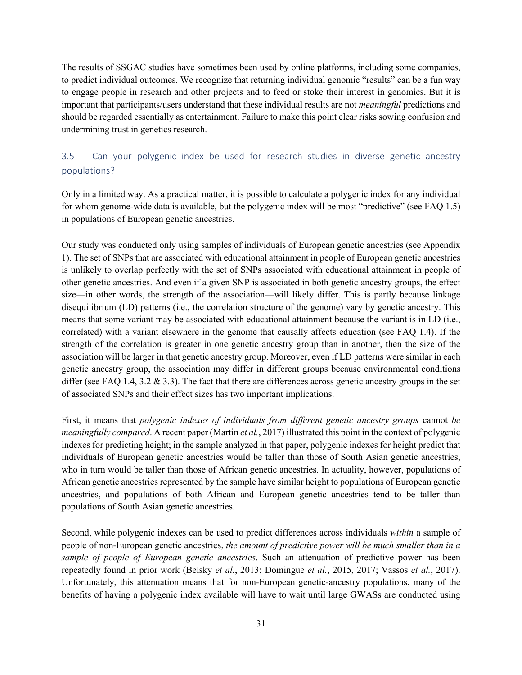The results of SSGAC studies have sometimes been used by online platforms, including some companies, to predict individual outcomes. We recognize that returning individual genomic "results" can be a fun way to engage people in research and other projects and to feed or stoke their interest in genomics. But it is important that participants/users understand that these individual results are not *meaningful* predictions and should be regarded essentially as entertainment. Failure to make this point clear risks sowing confusion and undermining trust in genetics research.

# 3.5 Can your polygenic index be used for research studies in diverse genetic ancestry populations?

Only in a limited way. As a practical matter, it is possible to calculate a polygenic index for any individual for whom genome-wide data is available, but the polygenic index will be most "predictive" (see FAQ 1.5) in populations of European genetic ancestries.

Our study was conducted only using samples of individuals of European genetic ancestries (see Appendix 1). The set of SNPs that are associated with educational attainment in people of European genetic ancestries is unlikely to overlap perfectly with the set of SNPs associated with educational attainment in people of other genetic ancestries. And even if a given SNP is associated in both genetic ancestry groups, the effect size—in other words, the strength of the association—will likely differ. This is partly because linkage disequilibrium (LD) patterns (i.e., the correlation structure of the genome) vary by genetic ancestry. This means that some variant may be associated with educational attainment because the variant is in LD (i.e., correlated) with a variant elsewhere in the genome that causally affects education (see FAQ 1.4). If the strength of the correlation is greater in one genetic ancestry group than in another, then the size of the association will be larger in that genetic ancestry group. Moreover, even if LD patterns were similar in each genetic ancestry group, the association may differ in different groups because environmental conditions differ (see FAQ 1.4, 3.2 & 3.3). The fact that there are differences across genetic ancestry groups in the set of associated SNPs and their effect sizes has two important implications.

First, it means that *polygenic indexes of individuals from different genetic ancestry groups* cannot *be meaningfully compared*. A recent paper (Martin *et al.*, 2017) illustrated this point in the context of polygenic indexes for predicting height; in the sample analyzed in that paper, polygenic indexes for height predict that individuals of European genetic ancestries would be taller than those of South Asian genetic ancestries, who in turn would be taller than those of African genetic ancestries. In actuality, however, populations of African genetic ancestries represented by the sample have similar height to populations of European genetic ancestries, and populations of both African and European genetic ancestries tend to be taller than populations of South Asian genetic ancestries.

Second, while polygenic indexes can be used to predict differences across individuals *within* a sample of people of non-European genetic ancestries, *the amount of predictive power will be much smaller than in a sample of people of European genetic ancestries*. Such an attenuation of predictive power has been repeatedly found in prior work (Belsky *et al.*, 2013; Domingue *et al.*, 2015, 2017; Vassos *et al.*, 2017). Unfortunately, this attenuation means that for non-European genetic-ancestry populations, many of the benefits of having a polygenic index available will have to wait until large GWASs are conducted using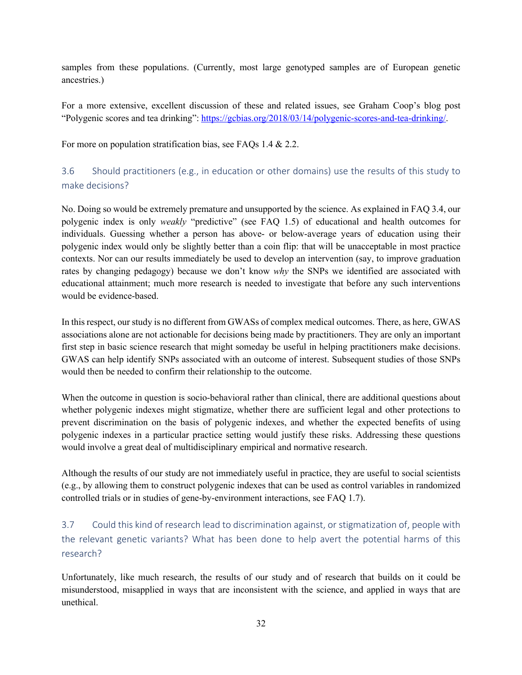samples from these populations. (Currently, most large genotyped samples are of European genetic ancestries.)

For a more extensive, excellent discussion of these and related issues, see Graham Coop's blog post "Polygenic scores and tea drinking": https://gcbias.org/2018/03/14/polygenic-scores-and-tea-drinking/.

For more on population stratification bias, see FAQs 1.4 & 2.2.

# 3.6 Should practitioners (e.g., in education or other domains) use the results of this study to make decisions?

No. Doing so would be extremely premature and unsupported by the science. As explained in FAQ 3.4, our polygenic index is only *weakly* "predictive" (see FAQ 1.5) of educational and health outcomes for individuals. Guessing whether a person has above- or below-average years of education using their polygenic index would only be slightly better than a coin flip: that will be unacceptable in most practice contexts. Nor can our results immediately be used to develop an intervention (say, to improve graduation rates by changing pedagogy) because we don't know *why* the SNPs we identified are associated with educational attainment; much more research is needed to investigate that before any such interventions would be evidence-based.

In this respect, our study is no different from GWASs of complex medical outcomes. There, as here, GWAS associations alone are not actionable for decisions being made by practitioners. They are only an important first step in basic science research that might someday be useful in helping practitioners make decisions. GWAS can help identify SNPs associated with an outcome of interest. Subsequent studies of those SNPs would then be needed to confirm their relationship to the outcome.

When the outcome in question is socio-behavioral rather than clinical, there are additional questions about whether polygenic indexes might stigmatize, whether there are sufficient legal and other protections to prevent discrimination on the basis of polygenic indexes, and whether the expected benefits of using polygenic indexes in a particular practice setting would justify these risks. Addressing these questions would involve a great deal of multidisciplinary empirical and normative research.

Although the results of our study are not immediately useful in practice, they are useful to social scientists (e.g., by allowing them to construct polygenic indexes that can be used as control variables in randomized controlled trials or in studies of gene-by-environment interactions, see FAQ 1.7).

3.7 Could this kind of research lead to discrimination against, or stigmatization of, people with the relevant genetic variants? What has been done to help avert the potential harms of this research?

Unfortunately, like much research, the results of our study and of research that builds on it could be misunderstood, misapplied in ways that are inconsistent with the science, and applied in ways that are unethical.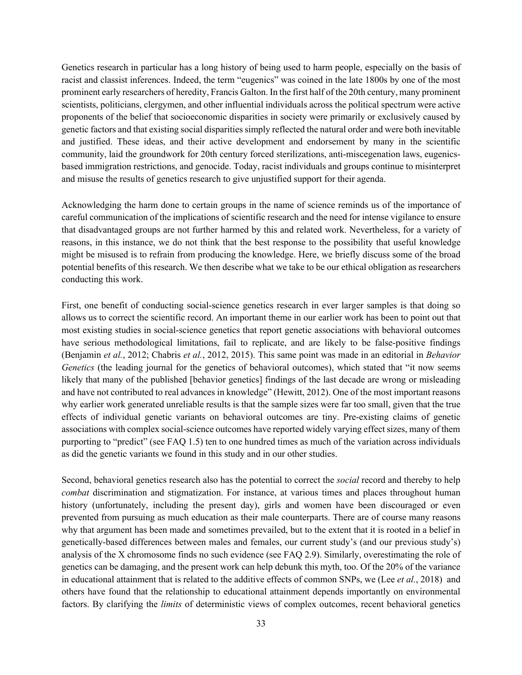Genetics research in particular has a long history of being used to harm people, especially on the basis of racist and classist inferences. Indeed, the term "eugenics" was coined in the late 1800s by one of the most prominent early researchers of heredity, Francis Galton. In the first half of the 20th century, many prominent scientists, politicians, clergymen, and other influential individuals across the political spectrum were active proponents of the belief that socioeconomic disparities in society were primarily or exclusively caused by genetic factors and that existing social disparities simply reflected the natural order and were both inevitable and justified. These ideas, and their active development and endorsement by many in the scientific community, laid the groundwork for 20th century forced sterilizations, anti-miscegenation laws, eugenicsbased immigration restrictions, and genocide. Today, racist individuals and groups continue to misinterpret and misuse the results of genetics research to give unjustified support for their agenda.

Acknowledging the harm done to certain groups in the name of science reminds us of the importance of careful communication of the implications of scientific research and the need for intense vigilance to ensure that disadvantaged groups are not further harmed by this and related work. Nevertheless, for a variety of reasons, in this instance, we do not think that the best response to the possibility that useful knowledge might be misused is to refrain from producing the knowledge. Here, we briefly discuss some of the broad potential benefits of this research. We then describe what we take to be our ethical obligation as researchers conducting this work.

First, one benefit of conducting social-science genetics research in ever larger samples is that doing so allows us to correct the scientific record. An important theme in our earlier work has been to point out that most existing studies in social-science genetics that report genetic associations with behavioral outcomes have serious methodological limitations, fail to replicate, and are likely to be false-positive findings (Benjamin *et al.*, 2012; Chabris *et al.*, 2012, 2015). This same point was made in an editorial in *Behavior Genetics* (the leading journal for the genetics of behavioral outcomes), which stated that "it now seems likely that many of the published [behavior genetics] findings of the last decade are wrong or misleading and have not contributed to real advances in knowledge" (Hewitt, 2012). One of the most important reasons why earlier work generated unreliable results is that the sample sizes were far too small, given that the true effects of individual genetic variants on behavioral outcomes are tiny. Pre-existing claims of genetic associations with complex social-science outcomes have reported widely varying effect sizes, many of them purporting to "predict" (see FAQ 1.5) ten to one hundred times as much of the variation across individuals as did the genetic variants we found in this study and in our other studies.

Second, behavioral genetics research also has the potential to correct the *social* record and thereby to help *combat* discrimination and stigmatization. For instance, at various times and places throughout human history (unfortunately, including the present day), girls and women have been discouraged or even prevented from pursuing as much education as their male counterparts. There are of course many reasons why that argument has been made and sometimes prevailed, but to the extent that it is rooted in a belief in genetically-based differences between males and females, our current study's (and our previous study's) analysis of the X chromosome finds no such evidence (see FAQ 2.9). Similarly, overestimating the role of genetics can be damaging, and the present work can help debunk this myth, too. Of the 20% of the variance in educational attainment that is related to the additive effects of common SNPs, we (Lee *et al.*, 2018) and others have found that the relationship to educational attainment depends importantly on environmental factors. By clarifying the *limits* of deterministic views of complex outcomes, recent behavioral genetics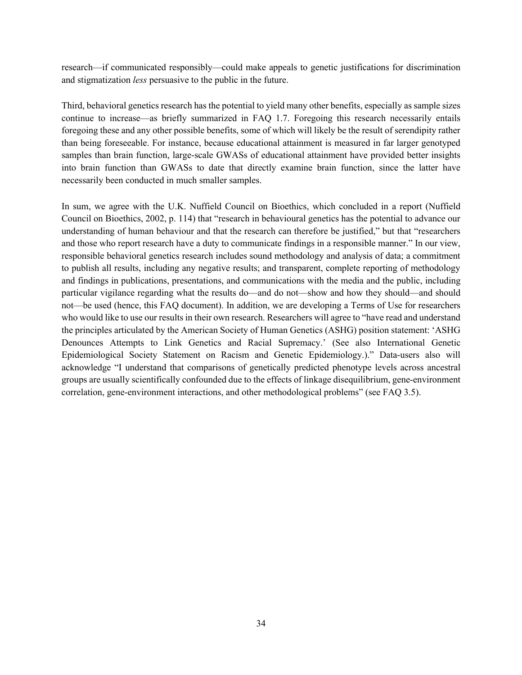research—if communicated responsibly—could make appeals to genetic justifications for discrimination and stigmatization *less* persuasive to the public in the future.

Third, behavioral genetics research has the potential to yield many other benefits, especially as sample sizes continue to increase—as briefly summarized in FAQ 1.7. Foregoing this research necessarily entails foregoing these and any other possible benefits, some of which will likely be the result of serendipity rather than being foreseeable. For instance, because educational attainment is measured in far larger genotyped samples than brain function, large-scale GWASs of educational attainment have provided better insights into brain function than GWASs to date that directly examine brain function, since the latter have necessarily been conducted in much smaller samples.

In sum, we agree with the U.K. Nuffield Council on Bioethics, which concluded in a report (Nuffield Council on Bioethics, 2002, p. 114) that "research in behavioural genetics has the potential to advance our understanding of human behaviour and that the research can therefore be justified," but that "researchers and those who report research have a duty to communicate findings in a responsible manner." In our view, responsible behavioral genetics research includes sound methodology and analysis of data; a commitment to publish all results, including any negative results; and transparent, complete reporting of methodology and findings in publications, presentations, and communications with the media and the public, including particular vigilance regarding what the results do—and do not—show and how they should—and should not—be used (hence, this FAQ document). In addition, we are developing a Terms of Use for researchers who would like to use our results in their own research. Researchers will agree to "have read and understand the principles articulated by the American Society of Human Genetics (ASHG) position statement: 'ASHG Denounces Attempts to Link Genetics and Racial Supremacy.' (See also International Genetic Epidemiological Society Statement on Racism and Genetic Epidemiology.)." Data-users also will acknowledge "I understand that comparisons of genetically predicted phenotype levels across ancestral groups are usually scientifically confounded due to the effects of linkage disequilibrium, gene-environment correlation, gene-environment interactions, and other methodological problems" (see FAQ 3.5).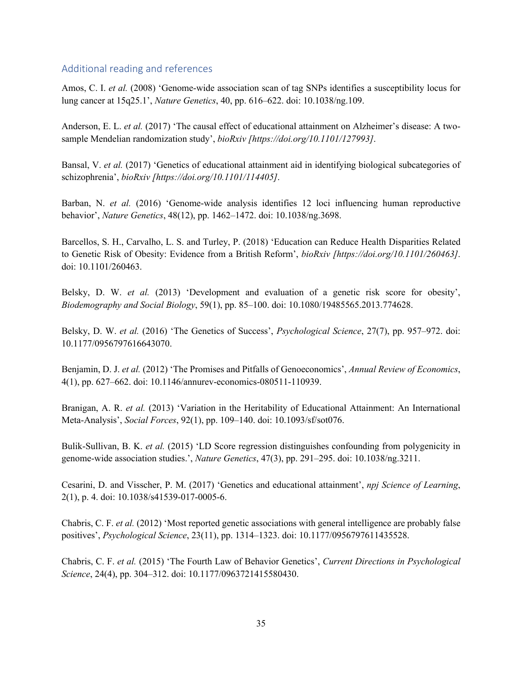### Additional reading and references

Amos, C. I. *et al.* (2008) 'Genome-wide association scan of tag SNPs identifies a susceptibility locus for lung cancer at 15q25.1', *Nature Genetics*, 40, pp. 616–622. doi: 10.1038/ng.109.

Anderson, E. L. *et al.* (2017) 'The causal effect of educational attainment on Alzheimer's disease: A twosample Mendelian randomization study', *bioRxiv [https://doi.org/10.1101/127993]*.

Bansal, V. *et al.* (2017) 'Genetics of educational attainment aid in identifying biological subcategories of schizophrenia', *bioRxiv [https://doi.org/10.1101/114405]*.

Barban, N. *et al.* (2016) 'Genome-wide analysis identifies 12 loci influencing human reproductive behavior', *Nature Genetics*, 48(12), pp. 1462–1472. doi: 10.1038/ng.3698.

Barcellos, S. H., Carvalho, L. S. and Turley, P. (2018) 'Education can Reduce Health Disparities Related to Genetic Risk of Obesity: Evidence from a British Reform', *bioRxiv [https://doi.org/10.1101/260463]*. doi: 10.1101/260463.

Belsky, D. W. *et al.* (2013) 'Development and evaluation of a genetic risk score for obesity', *Biodemography and Social Biology*, 59(1), pp. 85–100. doi: 10.1080/19485565.2013.774628.

Belsky, D. W. *et al.* (2016) 'The Genetics of Success', *Psychological Science*, 27(7), pp. 957–972. doi: 10.1177/0956797616643070.

Benjamin, D. J. *et al.* (2012) 'The Promises and Pitfalls of Genoeconomics', *Annual Review of Economics*, 4(1), pp. 627–662. doi: 10.1146/annurev-economics-080511-110939.

Branigan, A. R. *et al.* (2013) 'Variation in the Heritability of Educational Attainment: An International Meta-Analysis', *Social Forces*, 92(1), pp. 109–140. doi: 10.1093/sf/sot076.

Bulik-Sullivan, B. K. *et al.* (2015) 'LD Score regression distinguishes confounding from polygenicity in genome-wide association studies.', *Nature Genetics*, 47(3), pp. 291–295. doi: 10.1038/ng.3211.

Cesarini, D. and Visscher, P. M. (2017) 'Genetics and educational attainment', *npj Science of Learning*, 2(1), p. 4. doi: 10.1038/s41539-017-0005-6.

Chabris, C. F. *et al.* (2012) 'Most reported genetic associations with general intelligence are probably false positives', *Psychological Science*, 23(11), pp. 1314–1323. doi: 10.1177/0956797611435528.

Chabris, C. F. *et al.* (2015) 'The Fourth Law of Behavior Genetics', *Current Directions in Psychological Science*, 24(4), pp. 304–312. doi: 10.1177/0963721415580430.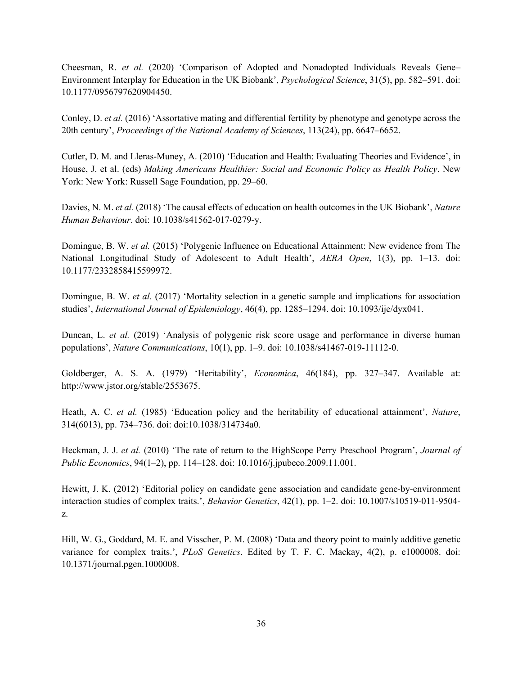Cheesman, R. *et al.* (2020) 'Comparison of Adopted and Nonadopted Individuals Reveals Gene– Environment Interplay for Education in the UK Biobank', *Psychological Science*, 31(5), pp. 582–591. doi: 10.1177/0956797620904450.

Conley, D. *et al.* (2016) 'Assortative mating and differential fertility by phenotype and genotype across the 20th century', *Proceedings of the National Academy of Sciences*, 113(24), pp. 6647–6652.

Cutler, D. M. and Lleras-Muney, A. (2010) 'Education and Health: Evaluating Theories and Evidence', in House, J. et al. (eds) *Making Americans Healthier: Social and Economic Policy as Health Policy*. New York: New York: Russell Sage Foundation, pp. 29–60.

Davies, N. M. *et al.* (2018) 'The causal effects of education on health outcomes in the UK Biobank', *Nature Human Behaviour*. doi: 10.1038/s41562-017-0279-y.

Domingue, B. W. *et al.* (2015) 'Polygenic Influence on Educational Attainment: New evidence from The National Longitudinal Study of Adolescent to Adult Health', *AERA Open*, 1(3), pp. 1–13. doi: 10.1177/2332858415599972.

Domingue, B. W. *et al.* (2017) 'Mortality selection in a genetic sample and implications for association studies', *International Journal of Epidemiology*, 46(4), pp. 1285–1294. doi: 10.1093/ije/dyx041.

Duncan, L. *et al.* (2019) 'Analysis of polygenic risk score usage and performance in diverse human populations', *Nature Communications*, 10(1), pp. 1–9. doi: 10.1038/s41467-019-11112-0.

Goldberger, A. S. A. (1979) 'Heritability', *Economica*, 46(184), pp. 327–347. Available at: http://www.jstor.org/stable/2553675.

Heath, A. C. *et al.* (1985) 'Education policy and the heritability of educational attainment', *Nature*, 314(6013), pp. 734–736. doi: doi:10.1038/314734a0.

Heckman, J. J. *et al.* (2010) 'The rate of return to the HighScope Perry Preschool Program', *Journal of Public Economics*, 94(1–2), pp. 114–128. doi: 10.1016/j.jpubeco.2009.11.001.

Hewitt, J. K. (2012) 'Editorial policy on candidate gene association and candidate gene-by-environment interaction studies of complex traits.', *Behavior Genetics*, 42(1), pp. 1–2. doi: 10.1007/s10519-011-9504 z.

Hill, W. G., Goddard, M. E. and Visscher, P. M. (2008) 'Data and theory point to mainly additive genetic variance for complex traits.', *PLoS Genetics*. Edited by T. F. C. Mackay, 4(2), p. e1000008. doi: 10.1371/journal.pgen.1000008.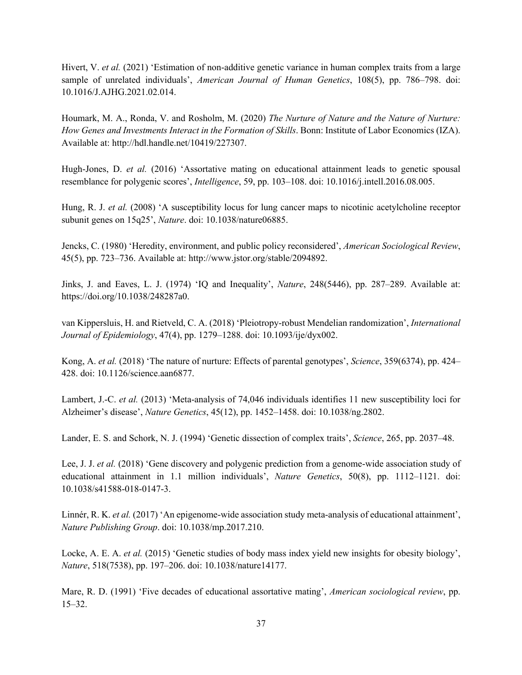Hivert, V. *et al.* (2021) 'Estimation of non-additive genetic variance in human complex traits from a large sample of unrelated individuals', *American Journal of Human Genetics*, 108(5), pp. 786–798. doi: 10.1016/J.AJHG.2021.02.014.

Houmark, M. A., Ronda, V. and Rosholm, M. (2020) *The Nurture of Nature and the Nature of Nurture: How Genes and Investments Interact in the Formation of Skills*. Bonn: Institute of Labor Economics (IZA). Available at: http://hdl.handle.net/10419/227307.

Hugh-Jones, D. *et al.* (2016) 'Assortative mating on educational attainment leads to genetic spousal resemblance for polygenic scores', *Intelligence*, 59, pp. 103–108. doi: 10.1016/j.intell.2016.08.005.

Hung, R. J. *et al.* (2008) 'A susceptibility locus for lung cancer maps to nicotinic acetylcholine receptor subunit genes on 15q25', *Nature*. doi: 10.1038/nature06885.

Jencks, C. (1980) 'Heredity, environment, and public policy reconsidered', *American Sociological Review*, 45(5), pp. 723–736. Available at: http://www.jstor.org/stable/2094892.

Jinks, J. and Eaves, L. J. (1974) 'IQ and Inequality', *Nature*, 248(5446), pp. 287–289. Available at: https://doi.org/10.1038/248287a0.

van Kippersluis, H. and Rietveld, C. A. (2018) 'Pleiotropy-robust Mendelian randomization', *International Journal of Epidemiology*, 47(4), pp. 1279–1288. doi: 10.1093/ije/dyx002.

Kong, A. *et al.* (2018) 'The nature of nurture: Effects of parental genotypes', *Science*, 359(6374), pp. 424– 428. doi: 10.1126/science.aan6877.

Lambert, J.-C. *et al.* (2013) 'Meta-analysis of 74,046 individuals identifies 11 new susceptibility loci for Alzheimer's disease', *Nature Genetics*, 45(12), pp. 1452–1458. doi: 10.1038/ng.2802.

Lander, E. S. and Schork, N. J. (1994) 'Genetic dissection of complex traits', *Science*, 265, pp. 2037–48.

Lee, J. J. *et al.* (2018) 'Gene discovery and polygenic prediction from a genome-wide association study of educational attainment in 1.1 million individuals', *Nature Genetics*, 50(8), pp. 1112–1121. doi: 10.1038/s41588-018-0147-3.

Linnér, R. K. *et al.* (2017) 'An epigenome-wide association study meta-analysis of educational attainment', *Nature Publishing Group*. doi: 10.1038/mp.2017.210.

Locke, A. E. A. *et al.* (2015) 'Genetic studies of body mass index yield new insights for obesity biology', *Nature*, 518(7538), pp. 197–206. doi: 10.1038/nature14177.

Mare, R. D. (1991) 'Five decades of educational assortative mating', *American sociological review*, pp. 15–32.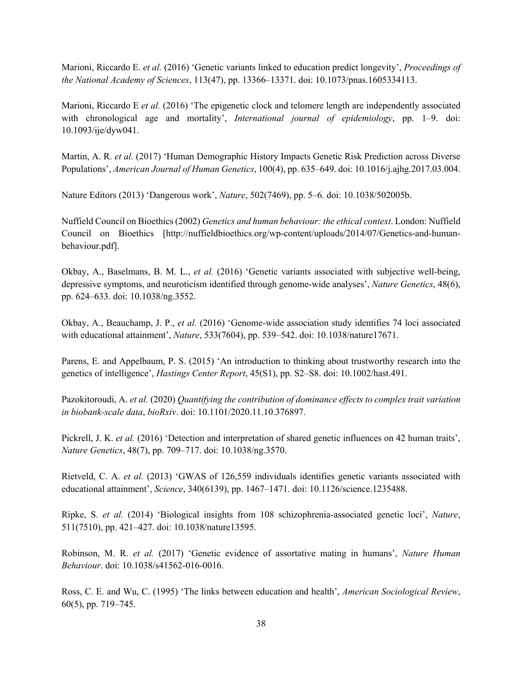Marioni, Riccardo E. *et al.* (2016) 'Genetic variants linked to education predict longevity', *Proceedings of the National Academy of Sciences*, 113(47), pp. 13366–13371. doi: 10.1073/pnas.1605334113.

Marioni, Riccardo E *et al.* (2016) 'The epigenetic clock and telomere length are independently associated with chronological age and mortality', *International journal of epidemiology*, pp. 1–9. doi: 10.1093/ije/dyw041.

Martin, A. R. *et al.* (2017) 'Human Demographic History Impacts Genetic Risk Prediction across Diverse Populations', *American Journal of Human Genetics*, 100(4), pp. 635–649. doi: 10.1016/j.ajhg.2017.03.004.

Nature Editors (2013) 'Dangerous work', *Nature*, 502(7469), pp. 5–6. doi: 10.1038/502005b.

Nuffield Council on Bioethics (2002) *Genetics and human behaviour: the ethical context*. London: Nuffield Council on Bioethics [http://nuffieldbioethics.org/wp-content/uploads/2014/07/Genetics-and-humanbehaviour.pdf].

Okbay, A., Baselmans, B. M. L., *et al.* (2016) 'Genetic variants associated with subjective well-being, depressive symptoms, and neuroticism identified through genome-wide analyses', *Nature Genetics*, 48(6), pp. 624–633. doi: 10.1038/ng.3552.

Okbay, A., Beauchamp, J. P., *et al.* (2016) 'Genome-wide association study identifies 74 loci associated with educational attainment', *Nature*, 533(7604), pp. 539–542. doi: 10.1038/nature17671.

Parens, E. and Appelbaum, P. S. (2015) 'An introduction to thinking about trustworthy research into the genetics of intelligence', *Hastings Center Report*, 45(S1), pp. S2–S8. doi: 10.1002/hast.491.

Pazokitoroudi, A. *et al.* (2020) *Quantifying the contribution of dominance effects to complex trait variation in biobank-scale data*, *bioRxiv*. doi: 10.1101/2020.11.10.376897.

Pickrell, J. K. *et al.* (2016) 'Detection and interpretation of shared genetic influences on 42 human traits', *Nature Genetics*, 48(7), pp. 709–717. doi: 10.1038/ng.3570.

Rietveld, C. A. *et al.* (2013) 'GWAS of 126,559 individuals identifies genetic variants associated with educational attainment', *Science*, 340(6139), pp. 1467–1471. doi: 10.1126/science.1235488.

Ripke, S. *et al.* (2014) 'Biological insights from 108 schizophrenia-associated genetic loci', *Nature*, 511(7510), pp. 421–427. doi: 10.1038/nature13595.

Robinson, M. R. *et al.* (2017) 'Genetic evidence of assortative mating in humans', *Nature Human Behaviour*. doi: 10.1038/s41562-016-0016.

Ross, C. E. and Wu, C. (1995) 'The links between education and health', *American Sociological Review*, 60(5), pp. 719–745.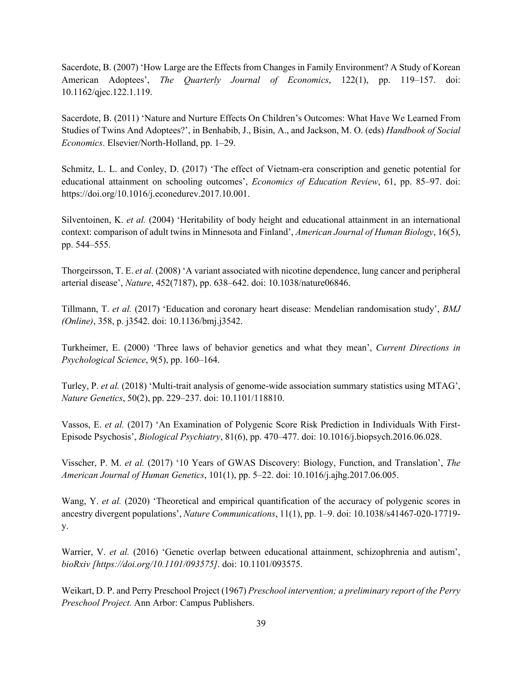Sacerdote, B. (2007) 'How Large are the Effects from Changes in Family Environment? A Study of Korean American Adoptees', *The Quarterly Journal of Economics*, 122(1), pp. 119–157. doi: 10.1162/qjec.122.1.119.

Sacerdote, B. (2011) 'Nature and Nurture Effects On Children's Outcomes: What Have We Learned From Studies of Twins And Adoptees?', in Benhabib, J., Bisin, A., and Jackson, M. O. (eds) *Handbook of Social Economics*. Elsevier/North-Holland, pp. 1–29.

Schmitz, L. L. and Conley, D. (2017) 'The effect of Vietnam-era conscription and genetic potential for educational attainment on schooling outcomes', *Economics of Education Review*, 61, pp. 85–97. doi: https://doi.org/10.1016/j.econedurev.2017.10.001.

Silventoinen, K. *et al.* (2004) 'Heritability of body height and educational attainment in an international context: comparison of adult twins in Minnesota and Finland', *American Journal of Human Biology*, 16(5), pp. 544–555.

Thorgeirsson, T. E. *et al.* (2008) 'A variant associated with nicotine dependence, lung cancer and peripheral arterial disease', *Nature*, 452(7187), pp. 638–642. doi: 10.1038/nature06846.

Tillmann, T. *et al.* (2017) 'Education and coronary heart disease: Mendelian randomisation study', *BMJ (Online)*, 358, p. j3542. doi: 10.1136/bmj.j3542.

Turkheimer, E. (2000) 'Three laws of behavior genetics and what they mean', *Current Directions in Psychological Science*, 9(5), pp. 160–164.

Turley, P. *et al.* (2018) 'Multi-trait analysis of genome-wide association summary statistics using MTAG', *Nature Genetics*, 50(2), pp. 229–237. doi: 10.1101/118810.

Vassos, E. *et al.* (2017) 'An Examination of Polygenic Score Risk Prediction in Individuals With First-Episode Psychosis', *Biological Psychiatry*, 81(6), pp. 470–477. doi: 10.1016/j.biopsych.2016.06.028.

Visscher, P. M. *et al.* (2017) '10 Years of GWAS Discovery: Biology, Function, and Translation', *The American Journal of Human Genetics*, 101(1), pp. 5–22. doi: 10.1016/j.ajhg.2017.06.005.

Wang, Y. *et al.* (2020) 'Theoretical and empirical quantification of the accuracy of polygenic scores in ancestry divergent populations', *Nature Communications*, 11(1), pp. 1–9. doi: 10.1038/s41467-020-17719 y.

Warrier, V. *et al.* (2016) 'Genetic overlap between educational attainment, schizophrenia and autism', *bioRxiv [https://doi.org/10.1101/093575]*. doi: 10.1101/093575.

Weikart, D. P. and Perry Preschool Project (1967) *Preschool intervention; a preliminary report of the Perry Preschool Project.* Ann Arbor: Campus Publishers.